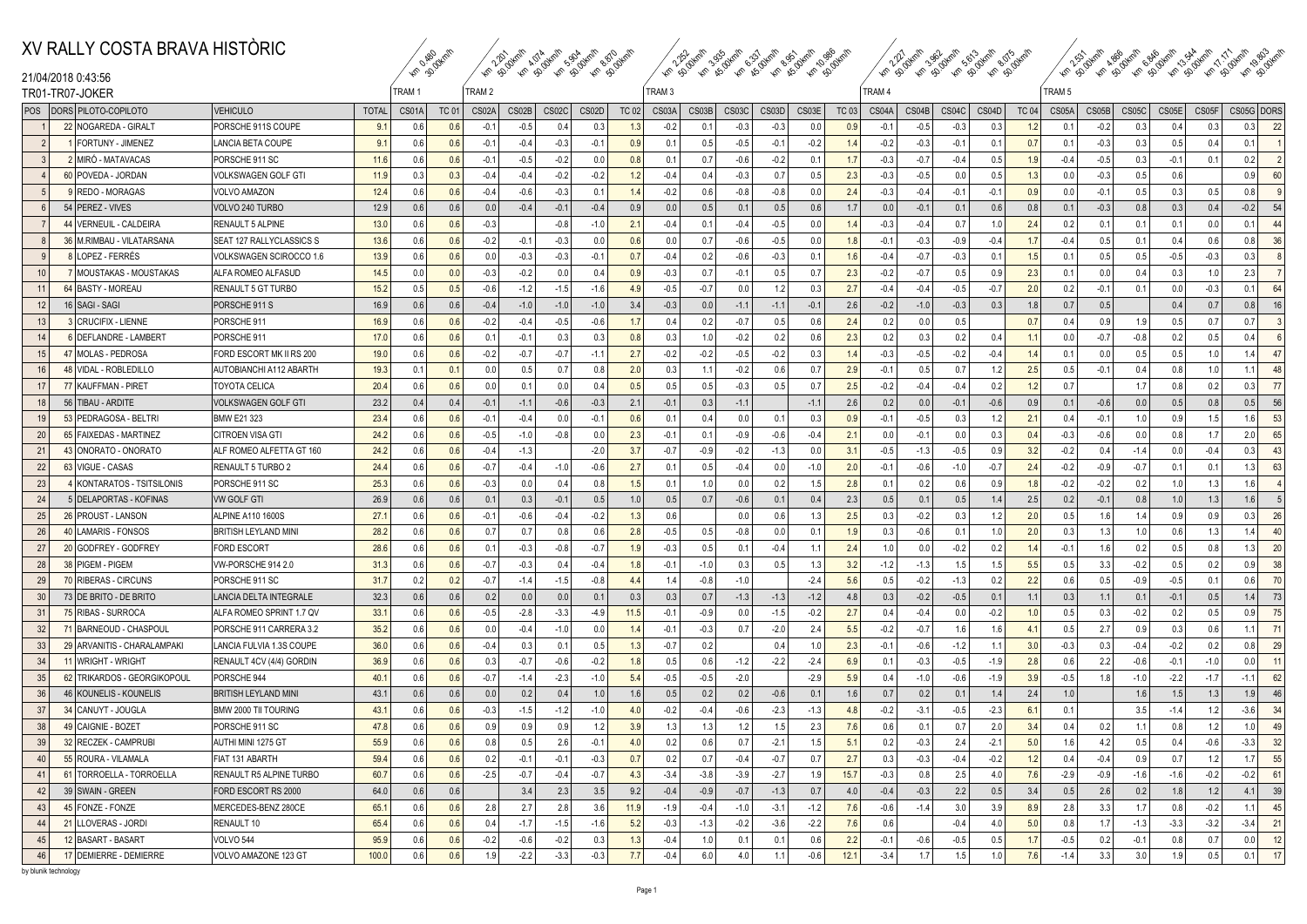TRAM 1  $T$ RAM 2  $T$ RAM 3  $T$ RAM 4  $T$ RAM 5 km 2.200 km 2.200 km 3.200 km 4.07 km 5.90 km 4.00 km 4.00 km 4.00 km 4.00 km 5.90 km 5.90 km 5.90 km 5.90 km **20.30.00 Km/h 30.00 Km/h 30.00 Km/h 30.00 Km** km 3.935 cm 5.95 km 5.95 km 5.95 km 5.95 km 5.95 km 5.95 km 5.95 km 5.95 km 5.95 km 5.95 km 5.95 km 5.95 km 5.<br>A strategy of the strategy of the strategy of the strategy of the strategy of the strategy of the strategy of  $\begin{matrix} \sqrt{4} \mathcal{N}_{\rm eff} \sim 0 & \mathcal{N}_{\rm eff} \sim 0 & \mathcal{N}_{\rm eff} \sim 0 & \mathcal{N}_{\rm eff} \sim 0 & \mathcal{N}_{\rm eff} \sim 0 & \mathcal{N}_{\rm eff} \sim 0 & \mathcal{N}_{\rm eff} \sim 0 & \mathcal{N}_{\rm eff} \sim 0 & \mathcal{N}_{\rm eff} \sim 0 & \mathcal{N}_{\rm eff} \sim 0 & \mathcal{N}_{\rm eff} \sim 0 & \mathcal{N}_{\rm eff} \sim 0 & \mathcal{N}_{\rm eff} \sim 0 & \mathcal{N}_{\rm eff} \sim 0 &$ 

#### 21/04/2018 0:43:56 TR01-TR07-JOKER

| CS02A<br>CS02C<br>CS03D<br>POS   DORS   PILOTO-COPILOTO<br><b>VEHICULO</b><br><b>TOTAL</b><br>CS01A<br><b>TC 01</b><br>CS02B<br>CS02D<br>TC 02<br>CS03A<br>CS03B<br>CS03C<br>CS03E<br><b>TC 03</b><br>CS04A<br>CS04B<br>CS04C<br>CS04D<br><b>TC 04</b><br>CS05A<br>CS05B<br>CS05C<br>CS05E<br>CS05F<br>CS05G DORS<br>22 NOGAREDA - GIRALT<br>PORSCHE 911S COUPE<br>9.1<br>0.6<br>0.6<br>$-0.1$<br>$-0.5$<br>0.4<br>0.3<br>$-0.2$<br>0.1<br>$-0.3$<br>$-0.3$<br>0.0<br>0.9<br>$-0.1$<br>$-0.5$<br>$-0.3$<br>0.3<br>0.2<br>$-0.2$<br>0.3<br>22<br>1.3<br>1.2<br>0.4<br>0.3<br>0.3<br>$-0.1$<br>$-0.3$<br>1 FORTUNY - JIMENEZ<br><b>LANCIA BETA COUPE</b><br>9.1<br>0.6<br>0.6<br>$-0.4$<br>$-0.1$<br>0.9<br>0.1<br>0.5<br>$-0.5$<br>$-0.1$<br>$-0.2$<br>1.4<br>$-0.3$<br>$-0.1$<br>0.1<br>0.7<br>0.1<br>$-0.3$<br>0.3<br>0.4<br>$\overline{2}$<br>$-0.2$<br>0.5<br>0.1<br>2 MIRÓ - MATAVACAS<br>11.6<br>$-0.1$<br>$-0.5$<br>$-0.2$<br>0.8<br>0.7<br>1.7<br>0.5<br>0.3<br>3<br>PORSCHE 911 SC<br>0.6<br>0.6<br>0.0<br>0.1<br>$-0.6$<br>$-0.2$<br>0.1<br>$-0.3$<br>$-0.7$<br>$-0.4$<br>1.9<br>$-0.4$<br>$-0.5$<br>$-0.1$<br>0.1<br>0.2<br>60 POVEDA - JORDAN<br>$-0.4$<br>$-0.2$<br>$-0.2$<br>$-0.3$<br>2.3<br>0.5<br>0.9<br>60<br>VOLKSWAGEN GOLF GTI<br>11.9<br>0.3<br>0.3<br>$-0.4$<br>1.2<br>$-0.4$<br>0.4<br>0.7<br>0.5<br>$-0.3$<br>$-0.5$<br>0.0<br>0.5<br>1.3<br>0.0<br>$-0.3$<br>0.6<br>5<br>9 REDO - MORAGAS<br>VOLVO AMAZON<br>12.4<br>0.6<br>0.6<br>$-0.4$<br>$-0.6$<br>$-0.3$<br>0.1<br>1.4<br>$-0.2$<br>0.6<br>$-0.8$<br>$-0.8$<br>0.0<br>2.4<br>$-0.1$<br>$-0.1$<br>0.9<br>0.0<br>$-0.1$<br>0.5<br>0.8<br>$-0.3$<br>$-0.4$<br>0.3<br>0.5<br>12.9<br>0.6<br>$-0.1$<br>0.9<br>0.0<br>1.7<br>$-0.1$<br>0.6<br>0.8<br>0.4<br>$-0.2$<br>54<br>$6\overline{6}$<br>54 PEREZ - VIVES<br>VOLVO 240 TURBO<br>0.6<br>0.0<br>$-0.4$<br>$-0.4$<br>0.5<br>0.1<br>0.5<br>0.6<br>0.0<br>0.1<br>0.8<br>0.<br>$-0.3$<br>$0.\overline{3}$<br>$-0.3$<br>$-0.8$<br>44<br>13.0<br>0.6<br>0.6<br>$-1.0$<br>2.1<br>$-0.4$<br>0.1<br>$-0.4$<br>$-0.5$<br>1.4<br>$-0.4$<br>0.7<br>1.0<br>2.4<br>0.2<br>0.1<br>0.0<br>44 VERNEUIL - CALDEIRA<br><b>RENAULT 5 ALPINE</b><br>0.0<br>$-0.3$<br>0.1<br>0.1<br>0.1<br>36<br>13.6<br>$-0.3$<br>0.6<br>0.0<br>1.8<br>0.1<br>0.8<br>36 M.RIMBAU - VILATARSANA<br>SEAT 127 RALLYCLASSICS S<br>0.6<br>0.6<br>$-0.2$<br>$-0.1$<br>0.0<br>0.7<br>$-0.6$<br>$-0.5$<br>0.0<br>$-0.1$<br>$-0.3$<br>$-0.9$<br>$-0.4$<br>1.<br>$-0.4$<br>0.5<br>0.4<br>0.6<br>13.9<br>$-0.3$<br>$-0.3$<br>9<br>8 LOPEZ - FERRÉS<br>VOLKSWAGEN SCIROCCO 1.6<br>0.6<br>0.6<br>0.0<br>$-0.1$<br>0.7<br>$-0.4$<br>0.2<br>$-0.6$<br>$-0.3$<br>0.1<br>1.6<br>$-0.4$<br>$-0.7$<br>$-0.3$<br>0.1<br>1.5<br>0.2<br>0.5<br>0.5<br>$-0.5$<br>$-0.3$<br>0.3<br>14.5<br>10 <sup>1</sup><br>7 MOUSTAKAS - MOUSTAKAS<br>ALFA ROMEO ALFASUD<br>0.0<br>0.0<br>$-0.3$<br>$-0.2$<br>0.0<br>0.4<br>0.9<br>$-0.3$<br>0.7<br>$-0.1$<br>0.5<br>2.3<br>$-0.2$<br>$-0.7$<br>0.5<br>0.9<br>2.3<br>0.1<br>0.4<br>1.0<br>2.3<br>0.7<br>0.0<br>0.3<br>64<br>64 BASTY - MOREAU<br>15.2<br>0.5<br>0.5<br>$-0.6$<br>$-1.2$<br>$-1.5$<br>$-1.6$<br>4.9<br>$-0.5$<br>$-0.7$<br>0.0<br>2.7<br>2.0<br>0.2<br>0.1<br>$-0.3$<br>11<br><b>RENAULT 5 GT TURBO</b><br>1.2<br>0.3<br>$-0.4$<br>$-0.4$<br>$-0.5$<br>$-0.7$<br>$-0.1$<br>0.0<br>0.1<br>16<br>2.6<br>12<br>16.9<br>0.6<br>0.6<br>$-0.4$<br>$-1.0$<br>$-1.0$<br>$-1.0$<br>3.4<br>$-0.3$<br>0.0<br>$-1.1$<br>$-1.1$<br>0.3<br>1.8<br>0.7<br>0.5<br>0.7<br>0.8<br>16   SAGI - SAGI<br>PORSCHE 911 S<br>$-0.1$<br>$-0.2$<br>$-1.0$<br>$-0.3$<br>0.4<br>3 CRUCIFIX - LIENNE<br>16.9<br>$-0.4$<br>$-0.5$<br>$-0.6$<br>1.7<br>0.2<br>$-0.7$<br>2.4<br>1.9<br>13<br>PORSCHE 911<br>0.6<br>0.6<br>$-0.2$<br>0.4<br>0.5<br>0.6<br>0.2<br>0.0<br>0.5<br>0.7<br>0.4<br>0.9<br>0.5<br>0.7<br>0.7<br>0.1<br>$-0.1$<br>0.3<br>0.3<br>0.8<br>1.0<br>$-0.2$<br>0.2<br>2.3<br>$-0.7$<br>$-0.8$<br>14<br>6 DEFLANDRE - LAMBERT<br>PORSCHE 911<br>17.0<br>0.6<br>0.6<br>0.3<br>0.6<br>0.2<br>0.3<br>0.2<br>0.4<br>1.1<br>0.0<br>0.2<br>0.5<br>0.4<br>19.0<br>$-0.2$<br>$-0.7$<br>$-0.7$<br>$-1.1$<br>2.7<br>$-0.2$<br>$-0.2$<br>$-0.5$<br>1.4<br>$-0.4$<br>0.5<br>1.0<br>47<br>15<br>47 MOLAS - PEDROSA<br>FORD ESCORT MK II RS 200<br>0.6<br>0.6<br>$-0.2$<br>0.3<br>$-0.3$<br>$-0.5$<br>$-0.2$<br>1.4<br>0.2<br>0.0<br>0.5<br>1.4<br>48<br>16<br>19.3<br>1.1<br>2.5<br>0.1<br>0.1<br>0.0<br>0.5<br>0.7<br>0.8<br>2.0<br>0.3<br>$-0.2$<br>0.6<br>2.9<br>0.5<br>1.2<br>0.5<br>0.4<br>1.0<br>1.1<br>48 VIDAL - ROBLEDILLO<br>AUTOBIANCHI A112 ABARTH<br>0.7<br>$-0.1$<br>0.7<br>$-0.1$<br>0.8<br>0.5<br>1.7<br>77<br>20.4<br>0.6<br>0.6<br>0.0<br>0.4<br>0.5<br>0.5<br>$-0.3$<br>2.5<br>0.2<br>0.7<br>0.2<br>0.3<br>17<br>77 KAUFFMAN - PIRET<br>TOYOTA CELICA<br>0.0<br>0.1<br>0.5<br>0.7<br>$-0.2$<br>$-0.4$<br>$-0.4$<br>1.2<br>0.8<br>56<br>23.2<br>$-0.6$<br>2.6<br>0.0<br>18<br>56 TIBAU - ARDITE<br>VOLKSWAGEN GOLF GTI<br>0.4<br>0.4<br>$-0.1$<br>$-1.1$<br>$-0.3$<br>2.1<br>$-0.1$<br>0.3<br>$-1.1$<br>$-1.1$<br>0.2<br>0.0<br>$-0.1$<br>$-0.6$<br>0.9<br>$\mathbf{0}$ .<br>$-0.6$<br>0.8<br>0.5<br>0.5<br>23.4<br>0.6<br>0.6<br>$-0.1$<br>$-0.4$<br>0.0<br>$-0.1$<br>0.6<br>0.4<br>0.0<br>0.9<br>$-0.5$<br>2.7<br>1.0<br>1.5<br>1.6<br>53<br>19<br>53 PEDRAGOSA - BELTRI<br><b>BMW E21 323</b><br>0.1<br>0.1<br>0.3<br>$-0.1$<br>0.3<br>1.2<br>0.4<br>$-0.1$<br>0.9<br>65<br>24.2<br>$-0.5$<br>$-0.8$<br>2.3<br>2.1<br>0.3<br>0.0<br>65 FAIXEDAS - MARTINEZ<br>CITROEN VISA GT<br>0.6<br>0.6<br>$-1.0$<br>0.0<br>$-0.1$<br>0.1<br>$-0.9$<br>$-0.6$<br>$-0.4$<br>0.0<br>$-0.1$<br>$-0.3$<br>$-0.6$<br>1.7<br>2.0<br>20<br>0.0<br>0.4<br>0.8<br>43<br>24.2<br>0.6<br>0.6<br>$-0.4$<br>$-1.3$<br>$-2.0$<br>3.7<br>$-0.9$<br>$-0.2$<br>$-1.3$<br>3.1<br>$-1.3$<br>0.9<br>3.2<br>$-0.2$<br>$-1.4$<br>$-0.4$<br>0.3<br>21<br>43 ONORATO - ONORATO<br>$-0.7$<br>0.0<br>$-0.5$<br>$-0.5$<br>0.4<br>0.0<br>ALF ROMEO ALFETTA GT 160<br>63<br>$-0.6$<br>2.7<br>2.0<br>$-0.7$<br>22<br>63 VIGUE - CASAS<br><b>RENAULT 5 TURBO 2</b><br>24.4<br>0.6<br>0.6<br>$-0.7$<br>$-0.4$<br>$-1.0$<br>0.1<br>0.5<br>$-0.4$<br>0.0<br>$-1.0$<br>$-0.1$<br>$-0.6$<br>$-1.0$<br>$-0.7$<br>2.4<br>$-0.2$<br>$-0.9$<br>0.1<br>0.1<br>1.3<br>23<br>4 KONTARATOS - TSITSILONIS<br>PORSCHE 911 SC<br>25.3<br>0.6<br>0.6<br>$-0.3$<br>0.0<br>0.4<br>0.8<br>1.5<br>0.1<br>1.0<br>0.0<br>0.2<br>1.5<br>2.8<br>0.2<br>0.6<br>0.9<br>1.8<br>$-0.2$<br>$-0.2$<br>0.2<br>1.0<br>1.6<br>0.1<br>1.3<br>24<br>26.9<br>0.6<br>0.3<br>$-0.1$<br>1.0<br>0.5<br>0.7<br>$-0.6$<br>2.3<br>0.1<br>0.5<br>1.4<br>2.5<br>0.8<br>1.3<br>1.6<br>5 DELAPORTAS - KOFINAS<br><b>VW GOLF GT</b><br>0.6<br>0.1<br>0.5<br>0.1<br>0.4<br>0.5<br>0.2<br>$-0.1$<br>1.0<br>26<br>25<br>2.5<br>1.2<br>2.0<br>27.<br>0.6<br>0.6<br>$-0.1$<br>$-0.6$<br>$-0.4$<br>$-0.2$<br>1.3<br>0.6<br>0.0<br>0.6<br>1.3<br>$-0.2$<br>0.5<br>1.6<br>1.4<br>0.9<br>26   PROUST - LANSON<br><b>ALPINE A110 1600S</b><br>0.3<br>0.3<br>0.9<br>0.3<br>40<br>28.2<br>0.8<br>2.8<br>$-0.8$<br>1.9<br>$-0.6$<br>1.0<br>1.0<br>1.3<br>1.4<br>26<br>40 LAMARIS - FONSOS<br><b>BRITISH LEYLAND MINI</b><br>0.6<br>0.6<br>0.7<br>0.7<br>0.6<br>$-0.5$<br>0.5<br>0.0<br>0.1<br>0.3<br>0.1<br>2.0<br>0.3<br>1.3<br>0.6<br>20<br><b>FORD ESCORT</b><br>28.6<br>0.6<br>$-0.3$<br>$-0.8$<br>$-0.7$<br>1.9<br>0.5<br>$-0.4$<br>2.4<br>1.6<br>0.2<br>27<br>20 GODFREY - GODFREY<br>0.6<br>0.1<br>$-0.3$<br>0.1<br>1.1<br>1.0<br>0.0<br>$-0.2$<br>0.2<br>1.4<br>$-0.2$<br>0.5<br>0.8<br>1.3<br>38<br>28<br>38 PIGEM - PIGEM<br>VW-PORSCHE 914 2.0<br>31.3<br>0.6<br>0.6<br>$-0.7$<br>$-0.3$<br>0.4<br>$-0.4$<br>1.8<br>$-0.1$<br>$-1.0$<br>0.3<br>0.5<br>1.3<br>3.2<br>$-1.3$<br>1.5<br>1.5<br>5.5<br>0.5<br>3.3<br>$-0.2$<br>0.2<br>0.9<br>$-1.2$<br>0.5<br>0.2<br>$-0.7$<br>$-1.5$<br>$-0.8$<br>$-2.4$<br>5.6<br>0.2<br>2.2<br>$-0.9$<br>70<br>70 RIBERAS - CIRCUNS<br>PORSCHE 911 SC<br>31.7<br>0.2<br>$-1.4$<br>$-0.8$<br>4.4<br>$-1.0$<br>$-0.2$<br>$-1.3$<br>0.6<br>0.5<br>$-0.5$<br>0.1<br>0.6<br>29<br>1.4<br>0.5<br>32.3<br>0.3<br>4.8<br>73<br>30 <sup>°</sup><br>0.6<br>0.6<br>0.2<br>0.0<br>0.0<br>0.1<br>0.3<br>0.7<br>$-1.3$<br>$-1.3$<br>$-1.2$<br>0.1<br>1.1<br>0.3<br>1.1<br>0.1<br>0.5<br>73 DE BRITO - DE BRITO<br>LANCIA DELTA INTEGRALE<br>0.3<br>$-0.2$<br>$-0.5$<br>$-0.1$<br>1.4<br>$-3.3$<br>2.7<br>75<br>75 RIBAS - SURROCA<br>ALFA ROMEO SPRINT 1.7 QV<br>33.7<br>0.6<br>0.6<br>$-0.5$<br>$-2.8$<br>$-4.9$<br>11.5<br>$-0.1$<br>$-0.9$<br>0.0<br>$-1.5$<br>$-0.2$<br>$-0.4$<br>0.0<br>$-0.2$<br>0.3<br>$-0.2$<br>0.2<br>0.9<br>31<br>0.4<br>1.0<br>0.5<br>0.5<br>32<br>71 BARNEOUD - CHASPOUL<br>PORSCHE 911 CARRERA 3.2<br>35.2<br>0.6<br>0.6<br>0.0<br>$-0.4$<br>$-1.0$<br>1.4<br>$-0.1$<br>$-0.3$<br>0.7<br>$-2.0$<br>2.4<br>5.5<br>$-0.2$<br>$-0.7$<br>1.6<br>1.6<br>4.1<br>0.5<br>2.7<br>0.9<br>0.6<br>71<br>0.0<br>0.3<br>11<br>36.0<br>0.1<br>1.3<br>0.2<br>2.3<br>29<br>33<br>29 ARVANITIS - CHARALAMPAKI<br>LANCIA FULVIA 1.3S COUPE<br>0.6<br>0.6<br>$-0.4$<br>0.3<br>0.5<br>$-0.7$<br>0.4<br>$-0.6$<br>$-1.2$<br>1.1<br>3.0<br>$-0.3$<br>0.3<br>$-0.4$<br>$-0.2$<br>0.2<br>0.8<br>1.0<br>$-0.1$<br>36.9<br>$-0.6$<br>1.8<br>$-2.2$<br>6.9<br>$-1.9$<br>2.8<br>2.2<br>11<br>34<br>0.6<br>0.6<br>0.3<br>$-0.7$<br>$-0.2$<br>0.5<br>0.6<br>$-1.2$<br>$-2.4$<br>$-0.3$<br>$-0.5$<br>0.6<br>$-0.6$<br>$-1.0$<br>0.0<br>11 WRIGHT - WRIGHT<br>RENAULT 4CV (4/4) GORDIN<br>0.1<br>$-0.1$<br>$-2.3$<br>40.7<br>$-1.0$<br>5.4<br>$-0.5$<br>$-2.0$<br>$-2.9$<br>5.9<br>$-1.0$<br>$-1.9$<br>3.9<br>1.8<br>$-1.0$<br>$-1.7$<br>$-1.1$<br>62<br>35<br>62 TRIKARDOS - GEORGIKOPOUL<br>PORSCHE 944<br>0.6<br>0.6<br>$-0.7$<br>$-1.4$<br>$-0.5$<br>0.4<br>$-0.6$<br>$-0.5$<br>$-2.2$<br>$46\,$<br>36<br>43.1<br>0.6<br>0.2<br>0.4<br>0.2<br>$-0.6$<br>1.6<br>1.6<br>46 KOUNELIS - KOUNELIS<br><b>BRITISH LEYLAND MINI</b><br>0.6<br>0.0<br>1.0<br>1.6<br>0.5<br>0.2<br>0.1<br>0.7<br>0.2<br>0.1<br>1.4<br>2.4<br>1.0<br>1.5<br>1.3<br>1.9<br>34<br>34 CANUYT - JOUGLA<br>BMW 2000 TII TOURING<br>43.1<br>0.6<br>0.6<br>$-0.3$<br>$-1.5$<br>$-1.2$<br>$-1.0$<br>4.0<br>$-0.2$<br>$-0.4$<br>$-0.6$<br>$-2.3$<br>4.8<br>$-0.2$<br>$-3.1$<br>$-0.5$<br>$-2.3$<br>6.7<br>0.1<br>3.5<br>1.2<br>$-3.6$<br>37 <sup>1</sup><br>$-1.3$<br>$-1.4$<br>47.8<br>3.9<br>49<br>49 CAIGNIE - BOZET<br>PORSCHE 911 SC<br>0.6<br>0.6<br>0.9<br>0.9<br>0.9<br>1.2<br>1.3<br>1.3<br>2.3<br>7.6<br>0.1<br>0.7<br>2.0<br>3.4<br>0.4<br>1.1<br>1.2<br>1.0<br>38<br>1.2<br>1.5<br>0.6<br>0.2<br>0.8<br>32<br>55.9<br>0.6<br>0.6<br>0.8<br>0.5<br>2.6<br>$-0.1$<br>0.2<br>0.6<br>0.7<br>$-2.1$<br>1.5<br>5.1<br>$-0.3$<br>2.4<br>$-2.1$<br>5.0<br>1.6<br>4.2<br>0.5<br>$-0.6$<br>$-3.3$<br>39<br>32 RECZEK - CAMPRUB<br>AUTHI MINI 1275 GT<br>4.0<br>0.2<br>0.4<br>55<br>59.4<br>$-0.3$<br>2.7<br>1.7<br>40<br>55 ROURA - VILAMALA<br>FIAT 131 ABARTH<br>0.6<br>0.6<br>0.2<br>$-0.1$<br>$-0.1$<br>0.7<br>0.2<br>0.7<br>$-0.4$<br>$-0.7$<br>0.7<br>0.3<br>$-0.3$<br>$-0.4$<br>$-0.2$<br>1.2<br>0.4<br>$-0.4$<br>0.9<br>0.7<br>1.2<br>60.7<br>0.6<br>$-2.5$<br>$-0.7$<br>$-0.4$<br>$-0.7$<br>4.3<br>$-3.8$<br>$-3.9$<br>$-2.7$<br>15.7<br>4.0<br>7.6<br>$-2.9$<br>$-1.6$<br>61<br>41<br>61 TORROELLA - TORROELLA<br>RENAULT R5 ALPINE TURBO<br>0.6<br>$-3.4$<br>1.9<br>$-0.3$<br>0.8<br>2.5<br>$-0.9$<br>$-1.6$<br>$-0.2$<br>$-0.2$<br>39 SWAIN - GREEN<br>64.0<br>0.6<br>0.6<br>3.4<br>2.3<br>$3.5\,$<br>9.2<br>$-0.4$<br>$-0.9$<br>$-0.7$<br>$-1.3$<br>0.7<br>4.0<br>$-0.3$<br>2.2<br>0.5<br>2.6<br>0.2<br>1.8<br>1.2<br>4.1<br>39<br>42<br>FORD ESCORT RS 2000<br>$-0.4$<br>3.4<br>0.5<br>45<br>65.<br>2.8<br>2.7<br>2.8<br>7.6<br>1.7<br>43<br>45 FONZE - FONZE<br>MERCEDES-BENZ 280CE<br>0.6<br>0.6<br>3.6<br>11.9<br>$-1.9$<br>$-0.4$<br>$-1.0$<br>$-3.1$<br>$-1.2$<br>$-1.4$<br>3.0<br>3.9<br>8.9<br>2.8<br>3.3<br>$-0.2$<br>$-0.6$<br>0.8<br>1.1<br>$-1.5$<br>5.2<br>$-3.6$<br>7.6<br>$-1.3$<br>$-3.2$<br>21<br>65.4<br>0.6<br>$-1.7$<br>$-1.6$<br>$-0.3$<br>$-1.3$<br>$-0.2$<br>$-2.2$<br>0.6<br>$-0.4$<br>4.0<br>5.0<br>0.8<br>1.7<br>$-3.3$<br>$-3.4$<br>21 LLOVERAS - JORD<br>RENAULT 10<br>0.6<br>0.4<br>12<br>45<br>12 BASART - BASART<br>VOLVO 544<br>95.9<br>0.6<br>$-0.2$<br>$-0.6$<br>$-0.2$<br>0.3<br>1.3<br>$-0.4$<br>1.0<br>0.1<br>2.2<br>$-0.1$<br>$-0.6$<br>$-0.5$<br>0.5<br>$-0.5$<br>$-0.1$<br>0.7<br>0.0<br>06<br>$\Omega$ .<br>06<br>1<br>0.2<br>0.8<br>6.0<br>17 DEMIERRE - DEMIERRE<br>VOLVO AMAZONE 123 GT<br>100.0<br>0.6<br>0.6<br>1.9<br>$-2.2$<br>$-3.3$<br>$-0.3$<br>7.7<br>$-0.4$<br>4.0<br>$-0.6$<br>12.1<br>$-3.4$<br>1.7<br>1.5<br>1.0<br>7.6<br>$-1.4$<br>3.3<br>3.0<br>1.9<br>0.5<br>0.1<br>17<br>46<br>1.1<br>by blunik technology | 1110171101700111 |  |  |  |  |  |  |  |  |  |  |  |  |  |  |  |  |  |  |
|-------------------------------------------------------------------------------------------------------------------------------------------------------------------------------------------------------------------------------------------------------------------------------------------------------------------------------------------------------------------------------------------------------------------------------------------------------------------------------------------------------------------------------------------------------------------------------------------------------------------------------------------------------------------------------------------------------------------------------------------------------------------------------------------------------------------------------------------------------------------------------------------------------------------------------------------------------------------------------------------------------------------------------------------------------------------------------------------------------------------------------------------------------------------------------------------------------------------------------------------------------------------------------------------------------------------------------------------------------------------------------------------------------------------------------------------------------------------------------------------------------------------------------------------------------------------------------------------------------------------------------------------------------------------------------------------------------------------------------------------------------------------------------------------------------------------------------------------------------------------------------------------------------------------------------------------------------------------------------------------------------------------------------------------------------------------------------------------------------------------------------------------------------------------------------------------------------------------------------------------------------------------------------------------------------------------------------------------------------------------------------------------------------------------------------------------------------------------------------------------------------------------------------------------------------------------------------------------------------------------------------------------------------------------------------------------------------------------------------------------------------------------------------------------------------------------------------------------------------------------------------------------------------------------------------------------------------------------------------------------------------------------------------------------------------------------------------------------------------------------------------------------------------------------------------------------------------------------------------------------------------------------------------------------------------------------------------------------------------------------------------------------------------------------------------------------------------------------------------------------------------------------------------------------------------------------------------------------------------------------------------------------------------------------------------------------------------------------------------------------------------------------------------------------------------------------------------------------------------------------------------------------------------------------------------------------------------------------------------------------------------------------------------------------------------------------------------------------------------------------------------------------------------------------------------------------------------------------------------------------------------------------------------------------------------------------------------------------------------------------------------------------------------------------------------------------------------------------------------------------------------------------------------------------------------------------------------------------------------------------------------------------------------------------------------------------------------------------------------------------------------------------------------------------------------------------------------------------------------------------------------------------------------------------------------------------------------------------------------------------------------------------------------------------------------------------------------------------------------------------------------------------------------------------------------------------------------------------------------------------------------------------------------------------------------------------------------------------------------------------------------------------------------------------------------------------------------------------------------------------------------------------------------------------------------------------------------------------------------------------------------------------------------------------------------------------------------------------------------------------------------------------------------------------------------------------------------------------------------------------------------------------------------------------------------------------------------------------------------------------------------------------------------------------------------------------------------------------------------------------------------------------------------------------------------------------------------------------------------------------------------------------------------------------------------------------------------------------------------------------------------------------------------------------------------------------------------------------------------------------------------------------------------------------------------------------------------------------------------------------------------------------------------------------------------------------------------------------------------------------------------------------------------------------------------------------------------------------------------------------------------------------------------------------------------------------------------------------------------------------------------------------------------------------------------------------------------------------------------------------------------------------------------------------------------------------------------------------------------------------------------------------------------------------------------------------------------------------------------------------------------------------------------------------------------------------------------------------------------------------------------------------------------------------------------------------------------------------------------------------------------------------------------------------------------------------------------------------------------------------------------------------------------------------------------------------------------------------------------------------------------------------------------------------------------------------------------------------------------------------------------------------------------------------------------------------------------------------------------------------------------------------------------------------------------------------------------------------------------------------------------------------------------------------------------------------------------------------------------------------------------------------------------------------------------------------------------------------------------------------------------------------------------------------------------------------------------------------------------------------------------------------------------------------------------------------------------------------------------------------------------------------------------------------------------------------------------------------------------------------------------------------------------------------------------------------------------------------------------------------------------------------------------------------------------------------------------------------------------------------------------------------------------------------------------------------------------------------------------------------------------------------------------------------------------------------------------------------------------------------------------------------------------------------------------------------------------------------------------------------------------------------------------------------------------------------------------------------------------------------------------------------------------------------------------------------------------------------------------------------------------------------------------------------------------------------------------------------------------------------------------------------------------------------------------------------------------------------------------------------------------------------------------------------------------------------------------------------------------------------------------------------------------------------------------------------------------------------------------------------------------------------------------------------------------------------------------------------------------------------------------------------------------------------------------------------------------------------------------------------------------------------------------------------------------------------------------------------------------------------------------------------------------------------------------------------------------------------------------------------------------------------------------------------------------------------------------------------------------------------------------------------------------------------------------------------------------------------------------------------------------------------------------------------------------------------------------------------------------------------------------------------------------------------------------------------------------------------------------------------------------------------------------------------------------------------------------------------------------------------------------------------------------------------------------------------------------------------------------------------------------------------------------------------------------------------------------------------------------------------------------------------------------------------------------------------------------------------------------------------------------------------------------------------------------------------------------------------------------------------------------------------------------------------------------------------------------------------------------------------------------------------------------------------------------------------------------------------------------------------------------------------------------------------------------------------------------------------------------------------------------------------------------------------------------------------------------------------------------------------------------------------------------------------------------------------------------------------------------------------------------------------------------------------------------------------------------------------------------------------------------------------------------------------------------|------------------|--|--|--|--|--|--|--|--|--|--|--|--|--|--|--|--|--|--|
|                                                                                                                                                                                                                                                                                                                                                                                                                                                                                                                                                                                                                                                                                                                                                                                                                                                                                                                                                                                                                                                                                                                                                                                                                                                                                                                                                                                                                                                                                                                                                                                                                                                                                                                                                                                                                                                                                                                                                                                                                                                                                                                                                                                                                                                                                                                                                                                                                                                                                                                                                                                                                                                                                                                                                                                                                                                                                                                                                                                                                                                                                                                                                                                                                                                                                                                                                                                                                                                                                                                                                                                                                                                                                                                                                                                                                                                                                                                                                                                                                                                                                                                                                                                                                                                                                                                                                                                                                                                                                                                                                                                                                                                                                                                                                                                                                                                                                                                                                                                                                                                                                                                                                                                                                                                                                                                                                                                                                                                                                                                                                                                                                                                                                                                                                                                                                                                                                                                                                                                                                                                                                                                                                                                                                                                                                                                                                                                                                                                                                                                                                                                                                                                                                                                                                                                                                                                                                                                                                                                                                                                                                                                                                                                                                                                                                                                                                                                                                                                                                                                                                                                                                                                                                                                                                                                                                                                                                                                                                                                                                                                                                                                                                                                                                                                                                                                                                                                                                                                                                                                                                                                                                                                                                                                                                                                                                                                                                                                                                                                                                                                                                                                                                                                                                                                                                                                                                                                                                                                                                                                                                                                                                                                                                                                                                                                                                                                                                                                                                                                                                                                                                                                                                                                                                                                                                                                                                                                                                                                                                                                                                                                                                                                                                                                                                                                                                                                                                                                                                                                                                                                                                                                                                                                                                                                                                                                                                                                                                                                                                                                                                                                                                                                                                                                                                                                                                                                                                                                                                                                                                                                                                                                                                                                                                                                                                                                                                                                                                                                                                                                                                                                                                                                                               |                  |  |  |  |  |  |  |  |  |  |  |  |  |  |  |  |  |  |  |
|                                                                                                                                                                                                                                                                                                                                                                                                                                                                                                                                                                                                                                                                                                                                                                                                                                                                                                                                                                                                                                                                                                                                                                                                                                                                                                                                                                                                                                                                                                                                                                                                                                                                                                                                                                                                                                                                                                                                                                                                                                                                                                                                                                                                                                                                                                                                                                                                                                                                                                                                                                                                                                                                                                                                                                                                                                                                                                                                                                                                                                                                                                                                                                                                                                                                                                                                                                                                                                                                                                                                                                                                                                                                                                                                                                                                                                                                                                                                                                                                                                                                                                                                                                                                                                                                                                                                                                                                                                                                                                                                                                                                                                                                                                                                                                                                                                                                                                                                                                                                                                                                                                                                                                                                                                                                                                                                                                                                                                                                                                                                                                                                                                                                                                                                                                                                                                                                                                                                                                                                                                                                                                                                                                                                                                                                                                                                                                                                                                                                                                                                                                                                                                                                                                                                                                                                                                                                                                                                                                                                                                                                                                                                                                                                                                                                                                                                                                                                                                                                                                                                                                                                                                                                                                                                                                                                                                                                                                                                                                                                                                                                                                                                                                                                                                                                                                                                                                                                                                                                                                                                                                                                                                                                                                                                                                                                                                                                                                                                                                                                                                                                                                                                                                                                                                                                                                                                                                                                                                                                                                                                                                                                                                                                                                                                                                                                                                                                                                                                                                                                                                                                                                                                                                                                                                                                                                                                                                                                                                                                                                                                                                                                                                                                                                                                                                                                                                                                                                                                                                                                                                                                                                                                                                                                                                                                                                                                                                                                                                                                                                                                                                                                                                                                                                                                                                                                                                                                                                                                                                                                                                                                                                                                                                                                                                                                                                                                                                                                                                                                                                                                                                                                                                                                               |                  |  |  |  |  |  |  |  |  |  |  |  |  |  |  |  |  |  |  |
|                                                                                                                                                                                                                                                                                                                                                                                                                                                                                                                                                                                                                                                                                                                                                                                                                                                                                                                                                                                                                                                                                                                                                                                                                                                                                                                                                                                                                                                                                                                                                                                                                                                                                                                                                                                                                                                                                                                                                                                                                                                                                                                                                                                                                                                                                                                                                                                                                                                                                                                                                                                                                                                                                                                                                                                                                                                                                                                                                                                                                                                                                                                                                                                                                                                                                                                                                                                                                                                                                                                                                                                                                                                                                                                                                                                                                                                                                                                                                                                                                                                                                                                                                                                                                                                                                                                                                                                                                                                                                                                                                                                                                                                                                                                                                                                                                                                                                                                                                                                                                                                                                                                                                                                                                                                                                                                                                                                                                                                                                                                                                                                                                                                                                                                                                                                                                                                                                                                                                                                                                                                                                                                                                                                                                                                                                                                                                                                                                                                                                                                                                                                                                                                                                                                                                                                                                                                                                                                                                                                                                                                                                                                                                                                                                                                                                                                                                                                                                                                                                                                                                                                                                                                                                                                                                                                                                                                                                                                                                                                                                                                                                                                                                                                                                                                                                                                                                                                                                                                                                                                                                                                                                                                                                                                                                                                                                                                                                                                                                                                                                                                                                                                                                                                                                                                                                                                                                                                                                                                                                                                                                                                                                                                                                                                                                                                                                                                                                                                                                                                                                                                                                                                                                                                                                                                                                                                                                                                                                                                                                                                                                                                                                                                                                                                                                                                                                                                                                                                                                                                                                                                                                                                                                                                                                                                                                                                                                                                                                                                                                                                                                                                                                                                                                                                                                                                                                                                                                                                                                                                                                                                                                                                                                                                                                                                                                                                                                                                                                                                                                                                                                                                                                                                                               |                  |  |  |  |  |  |  |  |  |  |  |  |  |  |  |  |  |  |  |
|                                                                                                                                                                                                                                                                                                                                                                                                                                                                                                                                                                                                                                                                                                                                                                                                                                                                                                                                                                                                                                                                                                                                                                                                                                                                                                                                                                                                                                                                                                                                                                                                                                                                                                                                                                                                                                                                                                                                                                                                                                                                                                                                                                                                                                                                                                                                                                                                                                                                                                                                                                                                                                                                                                                                                                                                                                                                                                                                                                                                                                                                                                                                                                                                                                                                                                                                                                                                                                                                                                                                                                                                                                                                                                                                                                                                                                                                                                                                                                                                                                                                                                                                                                                                                                                                                                                                                                                                                                                                                                                                                                                                                                                                                                                                                                                                                                                                                                                                                                                                                                                                                                                                                                                                                                                                                                                                                                                                                                                                                                                                                                                                                                                                                                                                                                                                                                                                                                                                                                                                                                                                                                                                                                                                                                                                                                                                                                                                                                                                                                                                                                                                                                                                                                                                                                                                                                                                                                                                                                                                                                                                                                                                                                                                                                                                                                                                                                                                                                                                                                                                                                                                                                                                                                                                                                                                                                                                                                                                                                                                                                                                                                                                                                                                                                                                                                                                                                                                                                                                                                                                                                                                                                                                                                                                                                                                                                                                                                                                                                                                                                                                                                                                                                                                                                                                                                                                                                                                                                                                                                                                                                                                                                                                                                                                                                                                                                                                                                                                                                                                                                                                                                                                                                                                                                                                                                                                                                                                                                                                                                                                                                                                                                                                                                                                                                                                                                                                                                                                                                                                                                                                                                                                                                                                                                                                                                                                                                                                                                                                                                                                                                                                                                                                                                                                                                                                                                                                                                                                                                                                                                                                                                                                                                                                                                                                                                                                                                                                                                                                                                                                                                                                                                                                               |                  |  |  |  |  |  |  |  |  |  |  |  |  |  |  |  |  |  |  |
|                                                                                                                                                                                                                                                                                                                                                                                                                                                                                                                                                                                                                                                                                                                                                                                                                                                                                                                                                                                                                                                                                                                                                                                                                                                                                                                                                                                                                                                                                                                                                                                                                                                                                                                                                                                                                                                                                                                                                                                                                                                                                                                                                                                                                                                                                                                                                                                                                                                                                                                                                                                                                                                                                                                                                                                                                                                                                                                                                                                                                                                                                                                                                                                                                                                                                                                                                                                                                                                                                                                                                                                                                                                                                                                                                                                                                                                                                                                                                                                                                                                                                                                                                                                                                                                                                                                                                                                                                                                                                                                                                                                                                                                                                                                                                                                                                                                                                                                                                                                                                                                                                                                                                                                                                                                                                                                                                                                                                                                                                                                                                                                                                                                                                                                                                                                                                                                                                                                                                                                                                                                                                                                                                                                                                                                                                                                                                                                                                                                                                                                                                                                                                                                                                                                                                                                                                                                                                                                                                                                                                                                                                                                                                                                                                                                                                                                                                                                                                                                                                                                                                                                                                                                                                                                                                                                                                                                                                                                                                                                                                                                                                                                                                                                                                                                                                                                                                                                                                                                                                                                                                                                                                                                                                                                                                                                                                                                                                                                                                                                                                                                                                                                                                                                                                                                                                                                                                                                                                                                                                                                                                                                                                                                                                                                                                                                                                                                                                                                                                                                                                                                                                                                                                                                                                                                                                                                                                                                                                                                                                                                                                                                                                                                                                                                                                                                                                                                                                                                                                                                                                                                                                                                                                                                                                                                                                                                                                                                                                                                                                                                                                                                                                                                                                                                                                                                                                                                                                                                                                                                                                                                                                                                                                                                                                                                                                                                                                                                                                                                                                                                                                                                                                                                                               |                  |  |  |  |  |  |  |  |  |  |  |  |  |  |  |  |  |  |  |
|                                                                                                                                                                                                                                                                                                                                                                                                                                                                                                                                                                                                                                                                                                                                                                                                                                                                                                                                                                                                                                                                                                                                                                                                                                                                                                                                                                                                                                                                                                                                                                                                                                                                                                                                                                                                                                                                                                                                                                                                                                                                                                                                                                                                                                                                                                                                                                                                                                                                                                                                                                                                                                                                                                                                                                                                                                                                                                                                                                                                                                                                                                                                                                                                                                                                                                                                                                                                                                                                                                                                                                                                                                                                                                                                                                                                                                                                                                                                                                                                                                                                                                                                                                                                                                                                                                                                                                                                                                                                                                                                                                                                                                                                                                                                                                                                                                                                                                                                                                                                                                                                                                                                                                                                                                                                                                                                                                                                                                                                                                                                                                                                                                                                                                                                                                                                                                                                                                                                                                                                                                                                                                                                                                                                                                                                                                                                                                                                                                                                                                                                                                                                                                                                                                                                                                                                                                                                                                                                                                                                                                                                                                                                                                                                                                                                                                                                                                                                                                                                                                                                                                                                                                                                                                                                                                                                                                                                                                                                                                                                                                                                                                                                                                                                                                                                                                                                                                                                                                                                                                                                                                                                                                                                                                                                                                                                                                                                                                                                                                                                                                                                                                                                                                                                                                                                                                                                                                                                                                                                                                                                                                                                                                                                                                                                                                                                                                                                                                                                                                                                                                                                                                                                                                                                                                                                                                                                                                                                                                                                                                                                                                                                                                                                                                                                                                                                                                                                                                                                                                                                                                                                                                                                                                                                                                                                                                                                                                                                                                                                                                                                                                                                                                                                                                                                                                                                                                                                                                                                                                                                                                                                                                                                                                                                                                                                                                                                                                                                                                                                                                                                                                                                                                                                               |                  |  |  |  |  |  |  |  |  |  |  |  |  |  |  |  |  |  |  |
|                                                                                                                                                                                                                                                                                                                                                                                                                                                                                                                                                                                                                                                                                                                                                                                                                                                                                                                                                                                                                                                                                                                                                                                                                                                                                                                                                                                                                                                                                                                                                                                                                                                                                                                                                                                                                                                                                                                                                                                                                                                                                                                                                                                                                                                                                                                                                                                                                                                                                                                                                                                                                                                                                                                                                                                                                                                                                                                                                                                                                                                                                                                                                                                                                                                                                                                                                                                                                                                                                                                                                                                                                                                                                                                                                                                                                                                                                                                                                                                                                                                                                                                                                                                                                                                                                                                                                                                                                                                                                                                                                                                                                                                                                                                                                                                                                                                                                                                                                                                                                                                                                                                                                                                                                                                                                                                                                                                                                                                                                                                                                                                                                                                                                                                                                                                                                                                                                                                                                                                                                                                                                                                                                                                                                                                                                                                                                                                                                                                                                                                                                                                                                                                                                                                                                                                                                                                                                                                                                                                                                                                                                                                                                                                                                                                                                                                                                                                                                                                                                                                                                                                                                                                                                                                                                                                                                                                                                                                                                                                                                                                                                                                                                                                                                                                                                                                                                                                                                                                                                                                                                                                                                                                                                                                                                                                                                                                                                                                                                                                                                                                                                                                                                                                                                                                                                                                                                                                                                                                                                                                                                                                                                                                                                                                                                                                                                                                                                                                                                                                                                                                                                                                                                                                                                                                                                                                                                                                                                                                                                                                                                                                                                                                                                                                                                                                                                                                                                                                                                                                                                                                                                                                                                                                                                                                                                                                                                                                                                                                                                                                                                                                                                                                                                                                                                                                                                                                                                                                                                                                                                                                                                                                                                                                                                                                                                                                                                                                                                                                                                                                                                                                                                                                                               |                  |  |  |  |  |  |  |  |  |  |  |  |  |  |  |  |  |  |  |
|                                                                                                                                                                                                                                                                                                                                                                                                                                                                                                                                                                                                                                                                                                                                                                                                                                                                                                                                                                                                                                                                                                                                                                                                                                                                                                                                                                                                                                                                                                                                                                                                                                                                                                                                                                                                                                                                                                                                                                                                                                                                                                                                                                                                                                                                                                                                                                                                                                                                                                                                                                                                                                                                                                                                                                                                                                                                                                                                                                                                                                                                                                                                                                                                                                                                                                                                                                                                                                                                                                                                                                                                                                                                                                                                                                                                                                                                                                                                                                                                                                                                                                                                                                                                                                                                                                                                                                                                                                                                                                                                                                                                                                                                                                                                                                                                                                                                                                                                                                                                                                                                                                                                                                                                                                                                                                                                                                                                                                                                                                                                                                                                                                                                                                                                                                                                                                                                                                                                                                                                                                                                                                                                                                                                                                                                                                                                                                                                                                                                                                                                                                                                                                                                                                                                                                                                                                                                                                                                                                                                                                                                                                                                                                                                                                                                                                                                                                                                                                                                                                                                                                                                                                                                                                                                                                                                                                                                                                                                                                                                                                                                                                                                                                                                                                                                                                                                                                                                                                                                                                                                                                                                                                                                                                                                                                                                                                                                                                                                                                                                                                                                                                                                                                                                                                                                                                                                                                                                                                                                                                                                                                                                                                                                                                                                                                                                                                                                                                                                                                                                                                                                                                                                                                                                                                                                                                                                                                                                                                                                                                                                                                                                                                                                                                                                                                                                                                                                                                                                                                                                                                                                                                                                                                                                                                                                                                                                                                                                                                                                                                                                                                                                                                                                                                                                                                                                                                                                                                                                                                                                                                                                                                                                                                                                                                                                                                                                                                                                                                                                                                                                                                                                                                                                               |                  |  |  |  |  |  |  |  |  |  |  |  |  |  |  |  |  |  |  |
|                                                                                                                                                                                                                                                                                                                                                                                                                                                                                                                                                                                                                                                                                                                                                                                                                                                                                                                                                                                                                                                                                                                                                                                                                                                                                                                                                                                                                                                                                                                                                                                                                                                                                                                                                                                                                                                                                                                                                                                                                                                                                                                                                                                                                                                                                                                                                                                                                                                                                                                                                                                                                                                                                                                                                                                                                                                                                                                                                                                                                                                                                                                                                                                                                                                                                                                                                                                                                                                                                                                                                                                                                                                                                                                                                                                                                                                                                                                                                                                                                                                                                                                                                                                                                                                                                                                                                                                                                                                                                                                                                                                                                                                                                                                                                                                                                                                                                                                                                                                                                                                                                                                                                                                                                                                                                                                                                                                                                                                                                                                                                                                                                                                                                                                                                                                                                                                                                                                                                                                                                                                                                                                                                                                                                                                                                                                                                                                                                                                                                                                                                                                                                                                                                                                                                                                                                                                                                                                                                                                                                                                                                                                                                                                                                                                                                                                                                                                                                                                                                                                                                                                                                                                                                                                                                                                                                                                                                                                                                                                                                                                                                                                                                                                                                                                                                                                                                                                                                                                                                                                                                                                                                                                                                                                                                                                                                                                                                                                                                                                                                                                                                                                                                                                                                                                                                                                                                                                                                                                                                                                                                                                                                                                                                                                                                                                                                                                                                                                                                                                                                                                                                                                                                                                                                                                                                                                                                                                                                                                                                                                                                                                                                                                                                                                                                                                                                                                                                                                                                                                                                                                                                                                                                                                                                                                                                                                                                                                                                                                                                                                                                                                                                                                                                                                                                                                                                                                                                                                                                                                                                                                                                                                                                                                                                                                                                                                                                                                                                                                                                                                                                                                                                                                                               |                  |  |  |  |  |  |  |  |  |  |  |  |  |  |  |  |  |  |  |
|                                                                                                                                                                                                                                                                                                                                                                                                                                                                                                                                                                                                                                                                                                                                                                                                                                                                                                                                                                                                                                                                                                                                                                                                                                                                                                                                                                                                                                                                                                                                                                                                                                                                                                                                                                                                                                                                                                                                                                                                                                                                                                                                                                                                                                                                                                                                                                                                                                                                                                                                                                                                                                                                                                                                                                                                                                                                                                                                                                                                                                                                                                                                                                                                                                                                                                                                                                                                                                                                                                                                                                                                                                                                                                                                                                                                                                                                                                                                                                                                                                                                                                                                                                                                                                                                                                                                                                                                                                                                                                                                                                                                                                                                                                                                                                                                                                                                                                                                                                                                                                                                                                                                                                                                                                                                                                                                                                                                                                                                                                                                                                                                                                                                                                                                                                                                                                                                                                                                                                                                                                                                                                                                                                                                                                                                                                                                                                                                                                                                                                                                                                                                                                                                                                                                                                                                                                                                                                                                                                                                                                                                                                                                                                                                                                                                                                                                                                                                                                                                                                                                                                                                                                                                                                                                                                                                                                                                                                                                                                                                                                                                                                                                                                                                                                                                                                                                                                                                                                                                                                                                                                                                                                                                                                                                                                                                                                                                                                                                                                                                                                                                                                                                                                                                                                                                                                                                                                                                                                                                                                                                                                                                                                                                                                                                                                                                                                                                                                                                                                                                                                                                                                                                                                                                                                                                                                                                                                                                                                                                                                                                                                                                                                                                                                                                                                                                                                                                                                                                                                                                                                                                                                                                                                                                                                                                                                                                                                                                                                                                                                                                                                                                                                                                                                                                                                                                                                                                                                                                                                                                                                                                                                                                                                                                                                                                                                                                                                                                                                                                                                                                                                                                                                                                               |                  |  |  |  |  |  |  |  |  |  |  |  |  |  |  |  |  |  |  |
|                                                                                                                                                                                                                                                                                                                                                                                                                                                                                                                                                                                                                                                                                                                                                                                                                                                                                                                                                                                                                                                                                                                                                                                                                                                                                                                                                                                                                                                                                                                                                                                                                                                                                                                                                                                                                                                                                                                                                                                                                                                                                                                                                                                                                                                                                                                                                                                                                                                                                                                                                                                                                                                                                                                                                                                                                                                                                                                                                                                                                                                                                                                                                                                                                                                                                                                                                                                                                                                                                                                                                                                                                                                                                                                                                                                                                                                                                                                                                                                                                                                                                                                                                                                                                                                                                                                                                                                                                                                                                                                                                                                                                                                                                                                                                                                                                                                                                                                                                                                                                                                                                                                                                                                                                                                                                                                                                                                                                                                                                                                                                                                                                                                                                                                                                                                                                                                                                                                                                                                                                                                                                                                                                                                                                                                                                                                                                                                                                                                                                                                                                                                                                                                                                                                                                                                                                                                                                                                                                                                                                                                                                                                                                                                                                                                                                                                                                                                                                                                                                                                                                                                                                                                                                                                                                                                                                                                                                                                                                                                                                                                                                                                                                                                                                                                                                                                                                                                                                                                                                                                                                                                                                                                                                                                                                                                                                                                                                                                                                                                                                                                                                                                                                                                                                                                                                                                                                                                                                                                                                                                                                                                                                                                                                                                                                                                                                                                                                                                                                                                                                                                                                                                                                                                                                                                                                                                                                                                                                                                                                                                                                                                                                                                                                                                                                                                                                                                                                                                                                                                                                                                                                                                                                                                                                                                                                                                                                                                                                                                                                                                                                                                                                                                                                                                                                                                                                                                                                                                                                                                                                                                                                                                                                                                                                                                                                                                                                                                                                                                                                                                                                                                                                                                                               |                  |  |  |  |  |  |  |  |  |  |  |  |  |  |  |  |  |  |  |
|                                                                                                                                                                                                                                                                                                                                                                                                                                                                                                                                                                                                                                                                                                                                                                                                                                                                                                                                                                                                                                                                                                                                                                                                                                                                                                                                                                                                                                                                                                                                                                                                                                                                                                                                                                                                                                                                                                                                                                                                                                                                                                                                                                                                                                                                                                                                                                                                                                                                                                                                                                                                                                                                                                                                                                                                                                                                                                                                                                                                                                                                                                                                                                                                                                                                                                                                                                                                                                                                                                                                                                                                                                                                                                                                                                                                                                                                                                                                                                                                                                                                                                                                                                                                                                                                                                                                                                                                                                                                                                                                                                                                                                                                                                                                                                                                                                                                                                                                                                                                                                                                                                                                                                                                                                                                                                                                                                                                                                                                                                                                                                                                                                                                                                                                                                                                                                                                                                                                                                                                                                                                                                                                                                                                                                                                                                                                                                                                                                                                                                                                                                                                                                                                                                                                                                                                                                                                                                                                                                                                                                                                                                                                                                                                                                                                                                                                                                                                                                                                                                                                                                                                                                                                                                                                                                                                                                                                                                                                                                                                                                                                                                                                                                                                                                                                                                                                                                                                                                                                                                                                                                                                                                                                                                                                                                                                                                                                                                                                                                                                                                                                                                                                                                                                                                                                                                                                                                                                                                                                                                                                                                                                                                                                                                                                                                                                                                                                                                                                                                                                                                                                                                                                                                                                                                                                                                                                                                                                                                                                                                                                                                                                                                                                                                                                                                                                                                                                                                                                                                                                                                                                                                                                                                                                                                                                                                                                                                                                                                                                                                                                                                                                                                                                                                                                                                                                                                                                                                                                                                                                                                                                                                                                                                                                                                                                                                                                                                                                                                                                                                                                                                                                                                                                               |                  |  |  |  |  |  |  |  |  |  |  |  |  |  |  |  |  |  |  |
|                                                                                                                                                                                                                                                                                                                                                                                                                                                                                                                                                                                                                                                                                                                                                                                                                                                                                                                                                                                                                                                                                                                                                                                                                                                                                                                                                                                                                                                                                                                                                                                                                                                                                                                                                                                                                                                                                                                                                                                                                                                                                                                                                                                                                                                                                                                                                                                                                                                                                                                                                                                                                                                                                                                                                                                                                                                                                                                                                                                                                                                                                                                                                                                                                                                                                                                                                                                                                                                                                                                                                                                                                                                                                                                                                                                                                                                                                                                                                                                                                                                                                                                                                                                                                                                                                                                                                                                                                                                                                                                                                                                                                                                                                                                                                                                                                                                                                                                                                                                                                                                                                                                                                                                                                                                                                                                                                                                                                                                                                                                                                                                                                                                                                                                                                                                                                                                                                                                                                                                                                                                                                                                                                                                                                                                                                                                                                                                                                                                                                                                                                                                                                                                                                                                                                                                                                                                                                                                                                                                                                                                                                                                                                                                                                                                                                                                                                                                                                                                                                                                                                                                                                                                                                                                                                                                                                                                                                                                                                                                                                                                                                                                                                                                                                                                                                                                                                                                                                                                                                                                                                                                                                                                                                                                                                                                                                                                                                                                                                                                                                                                                                                                                                                                                                                                                                                                                                                                                                                                                                                                                                                                                                                                                                                                                                                                                                                                                                                                                                                                                                                                                                                                                                                                                                                                                                                                                                                                                                                                                                                                                                                                                                                                                                                                                                                                                                                                                                                                                                                                                                                                                                                                                                                                                                                                                                                                                                                                                                                                                                                                                                                                                                                                                                                                                                                                                                                                                                                                                                                                                                                                                                                                                                                                                                                                                                                                                                                                                                                                                                                                                                                                                                                                                               |                  |  |  |  |  |  |  |  |  |  |  |  |  |  |  |  |  |  |  |
|                                                                                                                                                                                                                                                                                                                                                                                                                                                                                                                                                                                                                                                                                                                                                                                                                                                                                                                                                                                                                                                                                                                                                                                                                                                                                                                                                                                                                                                                                                                                                                                                                                                                                                                                                                                                                                                                                                                                                                                                                                                                                                                                                                                                                                                                                                                                                                                                                                                                                                                                                                                                                                                                                                                                                                                                                                                                                                                                                                                                                                                                                                                                                                                                                                                                                                                                                                                                                                                                                                                                                                                                                                                                                                                                                                                                                                                                                                                                                                                                                                                                                                                                                                                                                                                                                                                                                                                                                                                                                                                                                                                                                                                                                                                                                                                                                                                                                                                                                                                                                                                                                                                                                                                                                                                                                                                                                                                                                                                                                                                                                                                                                                                                                                                                                                                                                                                                                                                                                                                                                                                                                                                                                                                                                                                                                                                                                                                                                                                                                                                                                                                                                                                                                                                                                                                                                                                                                                                                                                                                                                                                                                                                                                                                                                                                                                                                                                                                                                                                                                                                                                                                                                                                                                                                                                                                                                                                                                                                                                                                                                                                                                                                                                                                                                                                                                                                                                                                                                                                                                                                                                                                                                                                                                                                                                                                                                                                                                                                                                                                                                                                                                                                                                                                                                                                                                                                                                                                                                                                                                                                                                                                                                                                                                                                                                                                                                                                                                                                                                                                                                                                                                                                                                                                                                                                                                                                                                                                                                                                                                                                                                                                                                                                                                                                                                                                                                                                                                                                                                                                                                                                                                                                                                                                                                                                                                                                                                                                                                                                                                                                                                                                                                                                                                                                                                                                                                                                                                                                                                                                                                                                                                                                                                                                                                                                                                                                                                                                                                                                                                                                                                                                                                                                               |                  |  |  |  |  |  |  |  |  |  |  |  |  |  |  |  |  |  |  |
|                                                                                                                                                                                                                                                                                                                                                                                                                                                                                                                                                                                                                                                                                                                                                                                                                                                                                                                                                                                                                                                                                                                                                                                                                                                                                                                                                                                                                                                                                                                                                                                                                                                                                                                                                                                                                                                                                                                                                                                                                                                                                                                                                                                                                                                                                                                                                                                                                                                                                                                                                                                                                                                                                                                                                                                                                                                                                                                                                                                                                                                                                                                                                                                                                                                                                                                                                                                                                                                                                                                                                                                                                                                                                                                                                                                                                                                                                                                                                                                                                                                                                                                                                                                                                                                                                                                                                                                                                                                                                                                                                                                                                                                                                                                                                                                                                                                                                                                                                                                                                                                                                                                                                                                                                                                                                                                                                                                                                                                                                                                                                                                                                                                                                                                                                                                                                                                                                                                                                                                                                                                                                                                                                                                                                                                                                                                                                                                                                                                                                                                                                                                                                                                                                                                                                                                                                                                                                                                                                                                                                                                                                                                                                                                                                                                                                                                                                                                                                                                                                                                                                                                                                                                                                                                                                                                                                                                                                                                                                                                                                                                                                                                                                                                                                                                                                                                                                                                                                                                                                                                                                                                                                                                                                                                                                                                                                                                                                                                                                                                                                                                                                                                                                                                                                                                                                                                                                                                                                                                                                                                                                                                                                                                                                                                                                                                                                                                                                                                                                                                                                                                                                                                                                                                                                                                                                                                                                                                                                                                                                                                                                                                                                                                                                                                                                                                                                                                                                                                                                                                                                                                                                                                                                                                                                                                                                                                                                                                                                                                                                                                                                                                                                                                                                                                                                                                                                                                                                                                                                                                                                                                                                                                                                                                                                                                                                                                                                                                                                                                                                                                                                                                                                                                                               |                  |  |  |  |  |  |  |  |  |  |  |  |  |  |  |  |  |  |  |
|                                                                                                                                                                                                                                                                                                                                                                                                                                                                                                                                                                                                                                                                                                                                                                                                                                                                                                                                                                                                                                                                                                                                                                                                                                                                                                                                                                                                                                                                                                                                                                                                                                                                                                                                                                                                                                                                                                                                                                                                                                                                                                                                                                                                                                                                                                                                                                                                                                                                                                                                                                                                                                                                                                                                                                                                                                                                                                                                                                                                                                                                                                                                                                                                                                                                                                                                                                                                                                                                                                                                                                                                                                                                                                                                                                                                                                                                                                                                                                                                                                                                                                                                                                                                                                                                                                                                                                                                                                                                                                                                                                                                                                                                                                                                                                                                                                                                                                                                                                                                                                                                                                                                                                                                                                                                                                                                                                                                                                                                                                                                                                                                                                                                                                                                                                                                                                                                                                                                                                                                                                                                                                                                                                                                                                                                                                                                                                                                                                                                                                                                                                                                                                                                                                                                                                                                                                                                                                                                                                                                                                                                                                                                                                                                                                                                                                                                                                                                                                                                                                                                                                                                                                                                                                                                                                                                                                                                                                                                                                                                                                                                                                                                                                                                                                                                                                                                                                                                                                                                                                                                                                                                                                                                                                                                                                                                                                                                                                                                                                                                                                                                                                                                                                                                                                                                                                                                                                                                                                                                                                                                                                                                                                                                                                                                                                                                                                                                                                                                                                                                                                                                                                                                                                                                                                                                                                                                                                                                                                                                                                                                                                                                                                                                                                                                                                                                                                                                                                                                                                                                                                                                                                                                                                                                                                                                                                                                                                                                                                                                                                                                                                                                                                                                                                                                                                                                                                                                                                                                                                                                                                                                                                                                                                                                                                                                                                                                                                                                                                                                                                                                                                                                                                                                               |                  |  |  |  |  |  |  |  |  |  |  |  |  |  |  |  |  |  |  |
|                                                                                                                                                                                                                                                                                                                                                                                                                                                                                                                                                                                                                                                                                                                                                                                                                                                                                                                                                                                                                                                                                                                                                                                                                                                                                                                                                                                                                                                                                                                                                                                                                                                                                                                                                                                                                                                                                                                                                                                                                                                                                                                                                                                                                                                                                                                                                                                                                                                                                                                                                                                                                                                                                                                                                                                                                                                                                                                                                                                                                                                                                                                                                                                                                                                                                                                                                                                                                                                                                                                                                                                                                                                                                                                                                                                                                                                                                                                                                                                                                                                                                                                                                                                                                                                                                                                                                                                                                                                                                                                                                                                                                                                                                                                                                                                                                                                                                                                                                                                                                                                                                                                                                                                                                                                                                                                                                                                                                                                                                                                                                                                                                                                                                                                                                                                                                                                                                                                                                                                                                                                                                                                                                                                                                                                                                                                                                                                                                                                                                                                                                                                                                                                                                                                                                                                                                                                                                                                                                                                                                                                                                                                                                                                                                                                                                                                                                                                                                                                                                                                                                                                                                                                                                                                                                                                                                                                                                                                                                                                                                                                                                                                                                                                                                                                                                                                                                                                                                                                                                                                                                                                                                                                                                                                                                                                                                                                                                                                                                                                                                                                                                                                                                                                                                                                                                                                                                                                                                                                                                                                                                                                                                                                                                                                                                                                                                                                                                                                                                                                                                                                                                                                                                                                                                                                                                                                                                                                                                                                                                                                                                                                                                                                                                                                                                                                                                                                                                                                                                                                                                                                                                                                                                                                                                                                                                                                                                                                                                                                                                                                                                                                                                                                                                                                                                                                                                                                                                                                                                                                                                                                                                                                                                                                                                                                                                                                                                                                                                                                                                                                                                                                                                                                                               |                  |  |  |  |  |  |  |  |  |  |  |  |  |  |  |  |  |  |  |
|                                                                                                                                                                                                                                                                                                                                                                                                                                                                                                                                                                                                                                                                                                                                                                                                                                                                                                                                                                                                                                                                                                                                                                                                                                                                                                                                                                                                                                                                                                                                                                                                                                                                                                                                                                                                                                                                                                                                                                                                                                                                                                                                                                                                                                                                                                                                                                                                                                                                                                                                                                                                                                                                                                                                                                                                                                                                                                                                                                                                                                                                                                                                                                                                                                                                                                                                                                                                                                                                                                                                                                                                                                                                                                                                                                                                                                                                                                                                                                                                                                                                                                                                                                                                                                                                                                                                                                                                                                                                                                                                                                                                                                                                                                                                                                                                                                                                                                                                                                                                                                                                                                                                                                                                                                                                                                                                                                                                                                                                                                                                                                                                                                                                                                                                                                                                                                                                                                                                                                                                                                                                                                                                                                                                                                                                                                                                                                                                                                                                                                                                                                                                                                                                                                                                                                                                                                                                                                                                                                                                                                                                                                                                                                                                                                                                                                                                                                                                                                                                                                                                                                                                                                                                                                                                                                                                                                                                                                                                                                                                                                                                                                                                                                                                                                                                                                                                                                                                                                                                                                                                                                                                                                                                                                                                                                                                                                                                                                                                                                                                                                                                                                                                                                                                                                                                                                                                                                                                                                                                                                                                                                                                                                                                                                                                                                                                                                                                                                                                                                                                                                                                                                                                                                                                                                                                                                                                                                                                                                                                                                                                                                                                                                                                                                                                                                                                                                                                                                                                                                                                                                                                                                                                                                                                                                                                                                                                                                                                                                                                                                                                                                                                                                                                                                                                                                                                                                                                                                                                                                                                                                                                                                                                                                                                                                                                                                                                                                                                                                                                                                                                                                                                                                                                               |                  |  |  |  |  |  |  |  |  |  |  |  |  |  |  |  |  |  |  |
|                                                                                                                                                                                                                                                                                                                                                                                                                                                                                                                                                                                                                                                                                                                                                                                                                                                                                                                                                                                                                                                                                                                                                                                                                                                                                                                                                                                                                                                                                                                                                                                                                                                                                                                                                                                                                                                                                                                                                                                                                                                                                                                                                                                                                                                                                                                                                                                                                                                                                                                                                                                                                                                                                                                                                                                                                                                                                                                                                                                                                                                                                                                                                                                                                                                                                                                                                                                                                                                                                                                                                                                                                                                                                                                                                                                                                                                                                                                                                                                                                                                                                                                                                                                                                                                                                                                                                                                                                                                                                                                                                                                                                                                                                                                                                                                                                                                                                                                                                                                                                                                                                                                                                                                                                                                                                                                                                                                                                                                                                                                                                                                                                                                                                                                                                                                                                                                                                                                                                                                                                                                                                                                                                                                                                                                                                                                                                                                                                                                                                                                                                                                                                                                                                                                                                                                                                                                                                                                                                                                                                                                                                                                                                                                                                                                                                                                                                                                                                                                                                                                                                                                                                                                                                                                                                                                                                                                                                                                                                                                                                                                                                                                                                                                                                                                                                                                                                                                                                                                                                                                                                                                                                                                                                                                                                                                                                                                                                                                                                                                                                                                                                                                                                                                                                                                                                                                                                                                                                                                                                                                                                                                                                                                                                                                                                                                                                                                                                                                                                                                                                                                                                                                                                                                                                                                                                                                                                                                                                                                                                                                                                                                                                                                                                                                                                                                                                                                                                                                                                                                                                                                                                                                                                                                                                                                                                                                                                                                                                                                                                                                                                                                                                                                                                                                                                                                                                                                                                                                                                                                                                                                                                                                                                                                                                                                                                                                                                                                                                                                                                                                                                                                                                                                                               |                  |  |  |  |  |  |  |  |  |  |  |  |  |  |  |  |  |  |  |
|                                                                                                                                                                                                                                                                                                                                                                                                                                                                                                                                                                                                                                                                                                                                                                                                                                                                                                                                                                                                                                                                                                                                                                                                                                                                                                                                                                                                                                                                                                                                                                                                                                                                                                                                                                                                                                                                                                                                                                                                                                                                                                                                                                                                                                                                                                                                                                                                                                                                                                                                                                                                                                                                                                                                                                                                                                                                                                                                                                                                                                                                                                                                                                                                                                                                                                                                                                                                                                                                                                                                                                                                                                                                                                                                                                                                                                                                                                                                                                                                                                                                                                                                                                                                                                                                                                                                                                                                                                                                                                                                                                                                                                                                                                                                                                                                                                                                                                                                                                                                                                                                                                                                                                                                                                                                                                                                                                                                                                                                                                                                                                                                                                                                                                                                                                                                                                                                                                                                                                                                                                                                                                                                                                                                                                                                                                                                                                                                                                                                                                                                                                                                                                                                                                                                                                                                                                                                                                                                                                                                                                                                                                                                                                                                                                                                                                                                                                                                                                                                                                                                                                                                                                                                                                                                                                                                                                                                                                                                                                                                                                                                                                                                                                                                                                                                                                                                                                                                                                                                                                                                                                                                                                                                                                                                                                                                                                                                                                                                                                                                                                                                                                                                                                                                                                                                                                                                                                                                                                                                                                                                                                                                                                                                                                                                                                                                                                                                                                                                                                                                                                                                                                                                                                                                                                                                                                                                                                                                                                                                                                                                                                                                                                                                                                                                                                                                                                                                                                                                                                                                                                                                                                                                                                                                                                                                                                                                                                                                                                                                                                                                                                                                                                                                                                                                                                                                                                                                                                                                                                                                                                                                                                                                                                                                                                                                                                                                                                                                                                                                                                                                                                                                                                                                               |                  |  |  |  |  |  |  |  |  |  |  |  |  |  |  |  |  |  |  |
|                                                                                                                                                                                                                                                                                                                                                                                                                                                                                                                                                                                                                                                                                                                                                                                                                                                                                                                                                                                                                                                                                                                                                                                                                                                                                                                                                                                                                                                                                                                                                                                                                                                                                                                                                                                                                                                                                                                                                                                                                                                                                                                                                                                                                                                                                                                                                                                                                                                                                                                                                                                                                                                                                                                                                                                                                                                                                                                                                                                                                                                                                                                                                                                                                                                                                                                                                                                                                                                                                                                                                                                                                                                                                                                                                                                                                                                                                                                                                                                                                                                                                                                                                                                                                                                                                                                                                                                                                                                                                                                                                                                                                                                                                                                                                                                                                                                                                                                                                                                                                                                                                                                                                                                                                                                                                                                                                                                                                                                                                                                                                                                                                                                                                                                                                                                                                                                                                                                                                                                                                                                                                                                                                                                                                                                                                                                                                                                                                                                                                                                                                                                                                                                                                                                                                                                                                                                                                                                                                                                                                                                                                                                                                                                                                                                                                                                                                                                                                                                                                                                                                                                                                                                                                                                                                                                                                                                                                                                                                                                                                                                                                                                                                                                                                                                                                                                                                                                                                                                                                                                                                                                                                                                                                                                                                                                                                                                                                                                                                                                                                                                                                                                                                                                                                                                                                                                                                                                                                                                                                                                                                                                                                                                                                                                                                                                                                                                                                                                                                                                                                                                                                                                                                                                                                                                                                                                                                                                                                                                                                                                                                                                                                                                                                                                                                                                                                                                                                                                                                                                                                                                                                                                                                                                                                                                                                                                                                                                                                                                                                                                                                                                                                                                                                                                                                                                                                                                                                                                                                                                                                                                                                                                                                                                                                                                                                                                                                                                                                                                                                                                                                                                                                                                                               |                  |  |  |  |  |  |  |  |  |  |  |  |  |  |  |  |  |  |  |
|                                                                                                                                                                                                                                                                                                                                                                                                                                                                                                                                                                                                                                                                                                                                                                                                                                                                                                                                                                                                                                                                                                                                                                                                                                                                                                                                                                                                                                                                                                                                                                                                                                                                                                                                                                                                                                                                                                                                                                                                                                                                                                                                                                                                                                                                                                                                                                                                                                                                                                                                                                                                                                                                                                                                                                                                                                                                                                                                                                                                                                                                                                                                                                                                                                                                                                                                                                                                                                                                                                                                                                                                                                                                                                                                                                                                                                                                                                                                                                                                                                                                                                                                                                                                                                                                                                                                                                                                                                                                                                                                                                                                                                                                                                                                                                                                                                                                                                                                                                                                                                                                                                                                                                                                                                                                                                                                                                                                                                                                                                                                                                                                                                                                                                                                                                                                                                                                                                                                                                                                                                                                                                                                                                                                                                                                                                                                                                                                                                                                                                                                                                                                                                                                                                                                                                                                                                                                                                                                                                                                                                                                                                                                                                                                                                                                                                                                                                                                                                                                                                                                                                                                                                                                                                                                                                                                                                                                                                                                                                                                                                                                                                                                                                                                                                                                                                                                                                                                                                                                                                                                                                                                                                                                                                                                                                                                                                                                                                                                                                                                                                                                                                                                                                                                                                                                                                                                                                                                                                                                                                                                                                                                                                                                                                                                                                                                                                                                                                                                                                                                                                                                                                                                                                                                                                                                                                                                                                                                                                                                                                                                                                                                                                                                                                                                                                                                                                                                                                                                                                                                                                                                                                                                                                                                                                                                                                                                                                                                                                                                                                                                                                                                                                                                                                                                                                                                                                                                                                                                                                                                                                                                                                                                                                                                                                                                                                                                                                                                                                                                                                                                                                                                                                                                               |                  |  |  |  |  |  |  |  |  |  |  |  |  |  |  |  |  |  |  |
|                                                                                                                                                                                                                                                                                                                                                                                                                                                                                                                                                                                                                                                                                                                                                                                                                                                                                                                                                                                                                                                                                                                                                                                                                                                                                                                                                                                                                                                                                                                                                                                                                                                                                                                                                                                                                                                                                                                                                                                                                                                                                                                                                                                                                                                                                                                                                                                                                                                                                                                                                                                                                                                                                                                                                                                                                                                                                                                                                                                                                                                                                                                                                                                                                                                                                                                                                                                                                                                                                                                                                                                                                                                                                                                                                                                                                                                                                                                                                                                                                                                                                                                                                                                                                                                                                                                                                                                                                                                                                                                                                                                                                                                                                                                                                                                                                                                                                                                                                                                                                                                                                                                                                                                                                                                                                                                                                                                                                                                                                                                                                                                                                                                                                                                                                                                                                                                                                                                                                                                                                                                                                                                                                                                                                                                                                                                                                                                                                                                                                                                                                                                                                                                                                                                                                                                                                                                                                                                                                                                                                                                                                                                                                                                                                                                                                                                                                                                                                                                                                                                                                                                                                                                                                                                                                                                                                                                                                                                                                                                                                                                                                                                                                                                                                                                                                                                                                                                                                                                                                                                                                                                                                                                                                                                                                                                                                                                                                                                                                                                                                                                                                                                                                                                                                                                                                                                                                                                                                                                                                                                                                                                                                                                                                                                                                                                                                                                                                                                                                                                                                                                                                                                                                                                                                                                                                                                                                                                                                                                                                                                                                                                                                                                                                                                                                                                                                                                                                                                                                                                                                                                                                                                                                                                                                                                                                                                                                                                                                                                                                                                                                                                                                                                                                                                                                                                                                                                                                                                                                                                                                                                                                                                                                                                                                                                                                                                                                                                                                                                                                                                                                                                                                                                                               |                  |  |  |  |  |  |  |  |  |  |  |  |  |  |  |  |  |  |  |
|                                                                                                                                                                                                                                                                                                                                                                                                                                                                                                                                                                                                                                                                                                                                                                                                                                                                                                                                                                                                                                                                                                                                                                                                                                                                                                                                                                                                                                                                                                                                                                                                                                                                                                                                                                                                                                                                                                                                                                                                                                                                                                                                                                                                                                                                                                                                                                                                                                                                                                                                                                                                                                                                                                                                                                                                                                                                                                                                                                                                                                                                                                                                                                                                                                                                                                                                                                                                                                                                                                                                                                                                                                                                                                                                                                                                                                                                                                                                                                                                                                                                                                                                                                                                                                                                                                                                                                                                                                                                                                                                                                                                                                                                                                                                                                                                                                                                                                                                                                                                                                                                                                                                                                                                                                                                                                                                                                                                                                                                                                                                                                                                                                                                                                                                                                                                                                                                                                                                                                                                                                                                                                                                                                                                                                                                                                                                                                                                                                                                                                                                                                                                                                                                                                                                                                                                                                                                                                                                                                                                                                                                                                                                                                                                                                                                                                                                                                                                                                                                                                                                                                                                                                                                                                                                                                                                                                                                                                                                                                                                                                                                                                                                                                                                                                                                                                                                                                                                                                                                                                                                                                                                                                                                                                                                                                                                                                                                                                                                                                                                                                                                                                                                                                                                                                                                                                                                                                                                                                                                                                                                                                                                                                                                                                                                                                                                                                                                                                                                                                                                                                                                                                                                                                                                                                                                                                                                                                                                                                                                                                                                                                                                                                                                                                                                                                                                                                                                                                                                                                                                                                                                                                                                                                                                                                                                                                                                                                                                                                                                                                                                                                                                                                                                                                                                                                                                                                                                                                                                                                                                                                                                                                                                                                                                                                                                                                                                                                                                                                                                                                                                                                                                                                                                               |                  |  |  |  |  |  |  |  |  |  |  |  |  |  |  |  |  |  |  |
|                                                                                                                                                                                                                                                                                                                                                                                                                                                                                                                                                                                                                                                                                                                                                                                                                                                                                                                                                                                                                                                                                                                                                                                                                                                                                                                                                                                                                                                                                                                                                                                                                                                                                                                                                                                                                                                                                                                                                                                                                                                                                                                                                                                                                                                                                                                                                                                                                                                                                                                                                                                                                                                                                                                                                                                                                                                                                                                                                                                                                                                                                                                                                                                                                                                                                                                                                                                                                                                                                                                                                                                                                                                                                                                                                                                                                                                                                                                                                                                                                                                                                                                                                                                                                                                                                                                                                                                                                                                                                                                                                                                                                                                                                                                                                                                                                                                                                                                                                                                                                                                                                                                                                                                                                                                                                                                                                                                                                                                                                                                                                                                                                                                                                                                                                                                                                                                                                                                                                                                                                                                                                                                                                                                                                                                                                                                                                                                                                                                                                                                                                                                                                                                                                                                                                                                                                                                                                                                                                                                                                                                                                                                                                                                                                                                                                                                                                                                                                                                                                                                                                                                                                                                                                                                                                                                                                                                                                                                                                                                                                                                                                                                                                                                                                                                                                                                                                                                                                                                                                                                                                                                                                                                                                                                                                                                                                                                                                                                                                                                                                                                                                                                                                                                                                                                                                                                                                                                                                                                                                                                                                                                                                                                                                                                                                                                                                                                                                                                                                                                                                                                                                                                                                                                                                                                                                                                                                                                                                                                                                                                                                                                                                                                                                                                                                                                                                                                                                                                                                                                                                                                                                                                                                                                                                                                                                                                                                                                                                                                                                                                                                                                                                                                                                                                                                                                                                                                                                                                                                                                                                                                                                                                                                                                                                                                                                                                                                                                                                                                                                                                                                                                                                                                                               |                  |  |  |  |  |  |  |  |  |  |  |  |  |  |  |  |  |  |  |
|                                                                                                                                                                                                                                                                                                                                                                                                                                                                                                                                                                                                                                                                                                                                                                                                                                                                                                                                                                                                                                                                                                                                                                                                                                                                                                                                                                                                                                                                                                                                                                                                                                                                                                                                                                                                                                                                                                                                                                                                                                                                                                                                                                                                                                                                                                                                                                                                                                                                                                                                                                                                                                                                                                                                                                                                                                                                                                                                                                                                                                                                                                                                                                                                                                                                                                                                                                                                                                                                                                                                                                                                                                                                                                                                                                                                                                                                                                                                                                                                                                                                                                                                                                                                                                                                                                                                                                                                                                                                                                                                                                                                                                                                                                                                                                                                                                                                                                                                                                                                                                                                                                                                                                                                                                                                                                                                                                                                                                                                                                                                                                                                                                                                                                                                                                                                                                                                                                                                                                                                                                                                                                                                                                                                                                                                                                                                                                                                                                                                                                                                                                                                                                                                                                                                                                                                                                                                                                                                                                                                                                                                                                                                                                                                                                                                                                                                                                                                                                                                                                                                                                                                                                                                                                                                                                                                                                                                                                                                                                                                                                                                                                                                                                                                                                                                                                                                                                                                                                                                                                                                                                                                                                                                                                                                                                                                                                                                                                                                                                                                                                                                                                                                                                                                                                                                                                                                                                                                                                                                                                                                                                                                                                                                                                                                                                                                                                                                                                                                                                                                                                                                                                                                                                                                                                                                                                                                                                                                                                                                                                                                                                                                                                                                                                                                                                                                                                                                                                                                                                                                                                                                                                                                                                                                                                                                                                                                                                                                                                                                                                                                                                                                                                                                                                                                                                                                                                                                                                                                                                                                                                                                                                                                                                                                                                                                                                                                                                                                                                                                                                                                                                                                                                                                               |                  |  |  |  |  |  |  |  |  |  |  |  |  |  |  |  |  |  |  |
|                                                                                                                                                                                                                                                                                                                                                                                                                                                                                                                                                                                                                                                                                                                                                                                                                                                                                                                                                                                                                                                                                                                                                                                                                                                                                                                                                                                                                                                                                                                                                                                                                                                                                                                                                                                                                                                                                                                                                                                                                                                                                                                                                                                                                                                                                                                                                                                                                                                                                                                                                                                                                                                                                                                                                                                                                                                                                                                                                                                                                                                                                                                                                                                                                                                                                                                                                                                                                                                                                                                                                                                                                                                                                                                                                                                                                                                                                                                                                                                                                                                                                                                                                                                                                                                                                                                                                                                                                                                                                                                                                                                                                                                                                                                                                                                                                                                                                                                                                                                                                                                                                                                                                                                                                                                                                                                                                                                                                                                                                                                                                                                                                                                                                                                                                                                                                                                                                                                                                                                                                                                                                                                                                                                                                                                                                                                                                                                                                                                                                                                                                                                                                                                                                                                                                                                                                                                                                                                                                                                                                                                                                                                                                                                                                                                                                                                                                                                                                                                                                                                                                                                                                                                                                                                                                                                                                                                                                                                                                                                                                                                                                                                                                                                                                                                                                                                                                                                                                                                                                                                                                                                                                                                                                                                                                                                                                                                                                                                                                                                                                                                                                                                                                                                                                                                                                                                                                                                                                                                                                                                                                                                                                                                                                                                                                                                                                                                                                                                                                                                                                                                                                                                                                                                                                                                                                                                                                                                                                                                                                                                                                                                                                                                                                                                                                                                                                                                                                                                                                                                                                                                                                                                                                                                                                                                                                                                                                                                                                                                                                                                                                                                                                                                                                                                                                                                                                                                                                                                                                                                                                                                                                                                                                                                                                                                                                                                                                                                                                                                                                                                                                                                                                                                                               |                  |  |  |  |  |  |  |  |  |  |  |  |  |  |  |  |  |  |  |
|                                                                                                                                                                                                                                                                                                                                                                                                                                                                                                                                                                                                                                                                                                                                                                                                                                                                                                                                                                                                                                                                                                                                                                                                                                                                                                                                                                                                                                                                                                                                                                                                                                                                                                                                                                                                                                                                                                                                                                                                                                                                                                                                                                                                                                                                                                                                                                                                                                                                                                                                                                                                                                                                                                                                                                                                                                                                                                                                                                                                                                                                                                                                                                                                                                                                                                                                                                                                                                                                                                                                                                                                                                                                                                                                                                                                                                                                                                                                                                                                                                                                                                                                                                                                                                                                                                                                                                                                                                                                                                                                                                                                                                                                                                                                                                                                                                                                                                                                                                                                                                                                                                                                                                                                                                                                                                                                                                                                                                                                                                                                                                                                                                                                                                                                                                                                                                                                                                                                                                                                                                                                                                                                                                                                                                                                                                                                                                                                                                                                                                                                                                                                                                                                                                                                                                                                                                                                                                                                                                                                                                                                                                                                                                                                                                                                                                                                                                                                                                                                                                                                                                                                                                                                                                                                                                                                                                                                                                                                                                                                                                                                                                                                                                                                                                                                                                                                                                                                                                                                                                                                                                                                                                                                                                                                                                                                                                                                                                                                                                                                                                                                                                                                                                                                                                                                                                                                                                                                                                                                                                                                                                                                                                                                                                                                                                                                                                                                                                                                                                                                                                                                                                                                                                                                                                                                                                                                                                                                                                                                                                                                                                                                                                                                                                                                                                                                                                                                                                                                                                                                                                                                                                                                                                                                                                                                                                                                                                                                                                                                                                                                                                                                                                                                                                                                                                                                                                                                                                                                                                                                                                                                                                                                                                                                                                                                                                                                                                                                                                                                                                                                                                                                                                                                               |                  |  |  |  |  |  |  |  |  |  |  |  |  |  |  |  |  |  |  |
|                                                                                                                                                                                                                                                                                                                                                                                                                                                                                                                                                                                                                                                                                                                                                                                                                                                                                                                                                                                                                                                                                                                                                                                                                                                                                                                                                                                                                                                                                                                                                                                                                                                                                                                                                                                                                                                                                                                                                                                                                                                                                                                                                                                                                                                                                                                                                                                                                                                                                                                                                                                                                                                                                                                                                                                                                                                                                                                                                                                                                                                                                                                                                                                                                                                                                                                                                                                                                                                                                                                                                                                                                                                                                                                                                                                                                                                                                                                                                                                                                                                                                                                                                                                                                                                                                                                                                                                                                                                                                                                                                                                                                                                                                                                                                                                                                                                                                                                                                                                                                                                                                                                                                                                                                                                                                                                                                                                                                                                                                                                                                                                                                                                                                                                                                                                                                                                                                                                                                                                                                                                                                                                                                                                                                                                                                                                                                                                                                                                                                                                                                                                                                                                                                                                                                                                                                                                                                                                                                                                                                                                                                                                                                                                                                                                                                                                                                                                                                                                                                                                                                                                                                                                                                                                                                                                                                                                                                                                                                                                                                                                                                                                                                                                                                                                                                                                                                                                                                                                                                                                                                                                                                                                                                                                                                                                                                                                                                                                                                                                                                                                                                                                                                                                                                                                                                                                                                                                                                                                                                                                                                                                                                                                                                                                                                                                                                                                                                                                                                                                                                                                                                                                                                                                                                                                                                                                                                                                                                                                                                                                                                                                                                                                                                                                                                                                                                                                                                                                                                                                                                                                                                                                                                                                                                                                                                                                                                                                                                                                                                                                                                                                                                                                                                                                                                                                                                                                                                                                                                                                                                                                                                                                                                                                                                                                                                                                                                                                                                                                                                                                                                                                                                                                                               |                  |  |  |  |  |  |  |  |  |  |  |  |  |  |  |  |  |  |  |
|                                                                                                                                                                                                                                                                                                                                                                                                                                                                                                                                                                                                                                                                                                                                                                                                                                                                                                                                                                                                                                                                                                                                                                                                                                                                                                                                                                                                                                                                                                                                                                                                                                                                                                                                                                                                                                                                                                                                                                                                                                                                                                                                                                                                                                                                                                                                                                                                                                                                                                                                                                                                                                                                                                                                                                                                                                                                                                                                                                                                                                                                                                                                                                                                                                                                                                                                                                                                                                                                                                                                                                                                                                                                                                                                                                                                                                                                                                                                                                                                                                                                                                                                                                                                                                                                                                                                                                                                                                                                                                                                                                                                                                                                                                                                                                                                                                                                                                                                                                                                                                                                                                                                                                                                                                                                                                                                                                                                                                                                                                                                                                                                                                                                                                                                                                                                                                                                                                                                                                                                                                                                                                                                                                                                                                                                                                                                                                                                                                                                                                                                                                                                                                                                                                                                                                                                                                                                                                                                                                                                                                                                                                                                                                                                                                                                                                                                                                                                                                                                                                                                                                                                                                                                                                                                                                                                                                                                                                                                                                                                                                                                                                                                                                                                                                                                                                                                                                                                                                                                                                                                                                                                                                                                                                                                                                                                                                                                                                                                                                                                                                                                                                                                                                                                                                                                                                                                                                                                                                                                                                                                                                                                                                                                                                                                                                                                                                                                                                                                                                                                                                                                                                                                                                                                                                                                                                                                                                                                                                                                                                                                                                                                                                                                                                                                                                                                                                                                                                                                                                                                                                                                                                                                                                                                                                                                                                                                                                                                                                                                                                                                                                                                                                                                                                                                                                                                                                                                                                                                                                                                                                                                                                                                                                                                                                                                                                                                                                                                                                                                                                                                                                                                                                                                               |                  |  |  |  |  |  |  |  |  |  |  |  |  |  |  |  |  |  |  |
|                                                                                                                                                                                                                                                                                                                                                                                                                                                                                                                                                                                                                                                                                                                                                                                                                                                                                                                                                                                                                                                                                                                                                                                                                                                                                                                                                                                                                                                                                                                                                                                                                                                                                                                                                                                                                                                                                                                                                                                                                                                                                                                                                                                                                                                                                                                                                                                                                                                                                                                                                                                                                                                                                                                                                                                                                                                                                                                                                                                                                                                                                                                                                                                                                                                                                                                                                                                                                                                                                                                                                                                                                                                                                                                                                                                                                                                                                                                                                                                                                                                                                                                                                                                                                                                                                                                                                                                                                                                                                                                                                                                                                                                                                                                                                                                                                                                                                                                                                                                                                                                                                                                                                                                                                                                                                                                                                                                                                                                                                                                                                                                                                                                                                                                                                                                                                                                                                                                                                                                                                                                                                                                                                                                                                                                                                                                                                                                                                                                                                                                                                                                                                                                                                                                                                                                                                                                                                                                                                                                                                                                                                                                                                                                                                                                                                                                                                                                                                                                                                                                                                                                                                                                                                                                                                                                                                                                                                                                                                                                                                                                                                                                                                                                                                                                                                                                                                                                                                                                                                                                                                                                                                                                                                                                                                                                                                                                                                                                                                                                                                                                                                                                                                                                                                                                                                                                                                                                                                                                                                                                                                                                                                                                                                                                                                                                                                                                                                                                                                                                                                                                                                                                                                                                                                                                                                                                                                                                                                                                                                                                                                                                                                                                                                                                                                                                                                                                                                                                                                                                                                                                                                                                                                                                                                                                                                                                                                                                                                                                                                                                                                                                                                                                                                                                                                                                                                                                                                                                                                                                                                                                                                                                                                                                                                                                                                                                                                                                                                                                                                                                                                                                                                                                                               |                  |  |  |  |  |  |  |  |  |  |  |  |  |  |  |  |  |  |  |
|                                                                                                                                                                                                                                                                                                                                                                                                                                                                                                                                                                                                                                                                                                                                                                                                                                                                                                                                                                                                                                                                                                                                                                                                                                                                                                                                                                                                                                                                                                                                                                                                                                                                                                                                                                                                                                                                                                                                                                                                                                                                                                                                                                                                                                                                                                                                                                                                                                                                                                                                                                                                                                                                                                                                                                                                                                                                                                                                                                                                                                                                                                                                                                                                                                                                                                                                                                                                                                                                                                                                                                                                                                                                                                                                                                                                                                                                                                                                                                                                                                                                                                                                                                                                                                                                                                                                                                                                                                                                                                                                                                                                                                                                                                                                                                                                                                                                                                                                                                                                                                                                                                                                                                                                                                                                                                                                                                                                                                                                                                                                                                                                                                                                                                                                                                                                                                                                                                                                                                                                                                                                                                                                                                                                                                                                                                                                                                                                                                                                                                                                                                                                                                                                                                                                                                                                                                                                                                                                                                                                                                                                                                                                                                                                                                                                                                                                                                                                                                                                                                                                                                                                                                                                                                                                                                                                                                                                                                                                                                                                                                                                                                                                                                                                                                                                                                                                                                                                                                                                                                                                                                                                                                                                                                                                                                                                                                                                                                                                                                                                                                                                                                                                                                                                                                                                                                                                                                                                                                                                                                                                                                                                                                                                                                                                                                                                                                                                                                                                                                                                                                                                                                                                                                                                                                                                                                                                                                                                                                                                                                                                                                                                                                                                                                                                                                                                                                                                                                                                                                                                                                                                                                                                                                                                                                                                                                                                                                                                                                                                                                                                                                                                                                                                                                                                                                                                                                                                                                                                                                                                                                                                                                                                                                                                                                                                                                                                                                                                                                                                                                                                                                                                                                                                               |                  |  |  |  |  |  |  |  |  |  |  |  |  |  |  |  |  |  |  |
|                                                                                                                                                                                                                                                                                                                                                                                                                                                                                                                                                                                                                                                                                                                                                                                                                                                                                                                                                                                                                                                                                                                                                                                                                                                                                                                                                                                                                                                                                                                                                                                                                                                                                                                                                                                                                                                                                                                                                                                                                                                                                                                                                                                                                                                                                                                                                                                                                                                                                                                                                                                                                                                                                                                                                                                                                                                                                                                                                                                                                                                                                                                                                                                                                                                                                                                                                                                                                                                                                                                                                                                                                                                                                                                                                                                                                                                                                                                                                                                                                                                                                                                                                                                                                                                                                                                                                                                                                                                                                                                                                                                                                                                                                                                                                                                                                                                                                                                                                                                                                                                                                                                                                                                                                                                                                                                                                                                                                                                                                                                                                                                                                                                                                                                                                                                                                                                                                                                                                                                                                                                                                                                                                                                                                                                                                                                                                                                                                                                                                                                                                                                                                                                                                                                                                                                                                                                                                                                                                                                                                                                                                                                                                                                                                                                                                                                                                                                                                                                                                                                                                                                                                                                                                                                                                                                                                                                                                                                                                                                                                                                                                                                                                                                                                                                                                                                                                                                                                                                                                                                                                                                                                                                                                                                                                                                                                                                                                                                                                                                                                                                                                                                                                                                                                                                                                                                                                                                                                                                                                                                                                                                                                                                                                                                                                                                                                                                                                                                                                                                                                                                                                                                                                                                                                                                                                                                                                                                                                                                                                                                                                                                                                                                                                                                                                                                                                                                                                                                                                                                                                                                                                                                                                                                                                                                                                                                                                                                                                                                                                                                                                                                                                                                                                                                                                                                                                                                                                                                                                                                                                                                                                                                                                                                                                                                                                                                                                                                                                                                                                                                                                                                                                                                                               |                  |  |  |  |  |  |  |  |  |  |  |  |  |  |  |  |  |  |  |
|                                                                                                                                                                                                                                                                                                                                                                                                                                                                                                                                                                                                                                                                                                                                                                                                                                                                                                                                                                                                                                                                                                                                                                                                                                                                                                                                                                                                                                                                                                                                                                                                                                                                                                                                                                                                                                                                                                                                                                                                                                                                                                                                                                                                                                                                                                                                                                                                                                                                                                                                                                                                                                                                                                                                                                                                                                                                                                                                                                                                                                                                                                                                                                                                                                                                                                                                                                                                                                                                                                                                                                                                                                                                                                                                                                                                                                                                                                                                                                                                                                                                                                                                                                                                                                                                                                                                                                                                                                                                                                                                                                                                                                                                                                                                                                                                                                                                                                                                                                                                                                                                                                                                                                                                                                                                                                                                                                                                                                                                                                                                                                                                                                                                                                                                                                                                                                                                                                                                                                                                                                                                                                                                                                                                                                                                                                                                                                                                                                                                                                                                                                                                                                                                                                                                                                                                                                                                                                                                                                                                                                                                                                                                                                                                                                                                                                                                                                                                                                                                                                                                                                                                                                                                                                                                                                                                                                                                                                                                                                                                                                                                                                                                                                                                                                                                                                                                                                                                                                                                                                                                                                                                                                                                                                                                                                                                                                                                                                                                                                                                                                                                                                                                                                                                                                                                                                                                                                                                                                                                                                                                                                                                                                                                                                                                                                                                                                                                                                                                                                                                                                                                                                                                                                                                                                                                                                                                                                                                                                                                                                                                                                                                                                                                                                                                                                                                                                                                                                                                                                                                                                                                                                                                                                                                                                                                                                                                                                                                                                                                                                                                                                                                                                                                                                                                                                                                                                                                                                                                                                                                                                                                                                                                                                                                                                                                                                                                                                                                                                                                                                                                                                                                                                                                               |                  |  |  |  |  |  |  |  |  |  |  |  |  |  |  |  |  |  |  |
|                                                                                                                                                                                                                                                                                                                                                                                                                                                                                                                                                                                                                                                                                                                                                                                                                                                                                                                                                                                                                                                                                                                                                                                                                                                                                                                                                                                                                                                                                                                                                                                                                                                                                                                                                                                                                                                                                                                                                                                                                                                                                                                                                                                                                                                                                                                                                                                                                                                                                                                                                                                                                                                                                                                                                                                                                                                                                                                                                                                                                                                                                                                                                                                                                                                                                                                                                                                                                                                                                                                                                                                                                                                                                                                                                                                                                                                                                                                                                                                                                                                                                                                                                                                                                                                                                                                                                                                                                                                                                                                                                                                                                                                                                                                                                                                                                                                                                                                                                                                                                                                                                                                                                                                                                                                                                                                                                                                                                                                                                                                                                                                                                                                                                                                                                                                                                                                                                                                                                                                                                                                                                                                                                                                                                                                                                                                                                                                                                                                                                                                                                                                                                                                                                                                                                                                                                                                                                                                                                                                                                                                                                                                                                                                                                                                                                                                                                                                                                                                                                                                                                                                                                                                                                                                                                                                                                                                                                                                                                                                                                                                                                                                                                                                                                                                                                                                                                                                                                                                                                                                                                                                                                                                                                                                                                                                                                                                                                                                                                                                                                                                                                                                                                                                                                                                                                                                                                                                                                                                                                                                                                                                                                                                                                                                                                                                                                                                                                                                                                                                                                                                                                                                                                                                                                                                                                                                                                                                                                                                                                                                                                                                                                                                                                                                                                                                                                                                                                                                                                                                                                                                                                                                                                                                                                                                                                                                                                                                                                                                                                                                                                                                                                                                                                                                                                                                                                                                                                                                                                                                                                                                                                                                                                                                                                                                                                                                                                                                                                                                                                                                                                                                                                                                                               |                  |  |  |  |  |  |  |  |  |  |  |  |  |  |  |  |  |  |  |
|                                                                                                                                                                                                                                                                                                                                                                                                                                                                                                                                                                                                                                                                                                                                                                                                                                                                                                                                                                                                                                                                                                                                                                                                                                                                                                                                                                                                                                                                                                                                                                                                                                                                                                                                                                                                                                                                                                                                                                                                                                                                                                                                                                                                                                                                                                                                                                                                                                                                                                                                                                                                                                                                                                                                                                                                                                                                                                                                                                                                                                                                                                                                                                                                                                                                                                                                                                                                                                                                                                                                                                                                                                                                                                                                                                                                                                                                                                                                                                                                                                                                                                                                                                                                                                                                                                                                                                                                                                                                                                                                                                                                                                                                                                                                                                                                                                                                                                                                                                                                                                                                                                                                                                                                                                                                                                                                                                                                                                                                                                                                                                                                                                                                                                                                                                                                                                                                                                                                                                                                                                                                                                                                                                                                                                                                                                                                                                                                                                                                                                                                                                                                                                                                                                                                                                                                                                                                                                                                                                                                                                                                                                                                                                                                                                                                                                                                                                                                                                                                                                                                                                                                                                                                                                                                                                                                                                                                                                                                                                                                                                                                                                                                                                                                                                                                                                                                                                                                                                                                                                                                                                                                                                                                                                                                                                                                                                                                                                                                                                                                                                                                                                                                                                                                                                                                                                                                                                                                                                                                                                                                                                                                                                                                                                                                                                                                                                                                                                                                                                                                                                                                                                                                                                                                                                                                                                                                                                                                                                                                                                                                                                                                                                                                                                                                                                                                                                                                                                                                                                                                                                                                                                                                                                                                                                                                                                                                                                                                                                                                                                                                                                                                                                                                                                                                                                                                                                                                                                                                                                                                                                                                                                                                                                                                                                                                                                                                                                                                                                                                                                                                                                                                                                                                               |                  |  |  |  |  |  |  |  |  |  |  |  |  |  |  |  |  |  |  |
|                                                                                                                                                                                                                                                                                                                                                                                                                                                                                                                                                                                                                                                                                                                                                                                                                                                                                                                                                                                                                                                                                                                                                                                                                                                                                                                                                                                                                                                                                                                                                                                                                                                                                                                                                                                                                                                                                                                                                                                                                                                                                                                                                                                                                                                                                                                                                                                                                                                                                                                                                                                                                                                                                                                                                                                                                                                                                                                                                                                                                                                                                                                                                                                                                                                                                                                                                                                                                                                                                                                                                                                                                                                                                                                                                                                                                                                                                                                                                                                                                                                                                                                                                                                                                                                                                                                                                                                                                                                                                                                                                                                                                                                                                                                                                                                                                                                                                                                                                                                                                                                                                                                                                                                                                                                                                                                                                                                                                                                                                                                                                                                                                                                                                                                                                                                                                                                                                                                                                                                                                                                                                                                                                                                                                                                                                                                                                                                                                                                                                                                                                                                                                                                                                                                                                                                                                                                                                                                                                                                                                                                                                                                                                                                                                                                                                                                                                                                                                                                                                                                                                                                                                                                                                                                                                                                                                                                                                                                                                                                                                                                                                                                                                                                                                                                                                                                                                                                                                                                                                                                                                                                                                                                                                                                                                                                                                                                                                                                                                                                                                                                                                                                                                                                                                                                                                                                                                                                                                                                                                                                                                                                                                                                                                                                                                                                                                                                                                                                                                                                                                                                                                                                                                                                                                                                                                                                                                                                                                                                                                                                                                                                                                                                                                                                                                                                                                                                                                                                                                                                                                                                                                                                                                                                                                                                                                                                                                                                                                                                                                                                                                                                                                                                                                                                                                                                                                                                                                                                                                                                                                                                                                                                                                                                                                                                                                                                                                                                                                                                                                                                                                                                                                                                                               |                  |  |  |  |  |  |  |  |  |  |  |  |  |  |  |  |  |  |  |
|                                                                                                                                                                                                                                                                                                                                                                                                                                                                                                                                                                                                                                                                                                                                                                                                                                                                                                                                                                                                                                                                                                                                                                                                                                                                                                                                                                                                                                                                                                                                                                                                                                                                                                                                                                                                                                                                                                                                                                                                                                                                                                                                                                                                                                                                                                                                                                                                                                                                                                                                                                                                                                                                                                                                                                                                                                                                                                                                                                                                                                                                                                                                                                                                                                                                                                                                                                                                                                                                                                                                                                                                                                                                                                                                                                                                                                                                                                                                                                                                                                                                                                                                                                                                                                                                                                                                                                                                                                                                                                                                                                                                                                                                                                                                                                                                                                                                                                                                                                                                                                                                                                                                                                                                                                                                                                                                                                                                                                                                                                                                                                                                                                                                                                                                                                                                                                                                                                                                                                                                                                                                                                                                                                                                                                                                                                                                                                                                                                                                                                                                                                                                                                                                                                                                                                                                                                                                                                                                                                                                                                                                                                                                                                                                                                                                                                                                                                                                                                                                                                                                                                                                                                                                                                                                                                                                                                                                                                                                                                                                                                                                                                                                                                                                                                                                                                                                                                                                                                                                                                                                                                                                                                                                                                                                                                                                                                                                                                                                                                                                                                                                                                                                                                                                                                                                                                                                                                                                                                                                                                                                                                                                                                                                                                                                                                                                                                                                                                                                                                                                                                                                                                                                                                                                                                                                                                                                                                                                                                                                                                                                                                                                                                                                                                                                                                                                                                                                                                                                                                                                                                                                                                                                                                                                                                                                                                                                                                                                                                                                                                                                                                                                                                                                                                                                                                                                                                                                                                                                                                                                                                                                                                                                                                                                                                                                                                                                                                                                                                                                                                                                                                                                                                                                               |                  |  |  |  |  |  |  |  |  |  |  |  |  |  |  |  |  |  |  |
|                                                                                                                                                                                                                                                                                                                                                                                                                                                                                                                                                                                                                                                                                                                                                                                                                                                                                                                                                                                                                                                                                                                                                                                                                                                                                                                                                                                                                                                                                                                                                                                                                                                                                                                                                                                                                                                                                                                                                                                                                                                                                                                                                                                                                                                                                                                                                                                                                                                                                                                                                                                                                                                                                                                                                                                                                                                                                                                                                                                                                                                                                                                                                                                                                                                                                                                                                                                                                                                                                                                                                                                                                                                                                                                                                                                                                                                                                                                                                                                                                                                                                                                                                                                                                                                                                                                                                                                                                                                                                                                                                                                                                                                                                                                                                                                                                                                                                                                                                                                                                                                                                                                                                                                                                                                                                                                                                                                                                                                                                                                                                                                                                                                                                                                                                                                                                                                                                                                                                                                                                                                                                                                                                                                                                                                                                                                                                                                                                                                                                                                                                                                                                                                                                                                                                                                                                                                                                                                                                                                                                                                                                                                                                                                                                                                                                                                                                                                                                                                                                                                                                                                                                                                                                                                                                                                                                                                                                                                                                                                                                                                                                                                                                                                                                                                                                                                                                                                                                                                                                                                                                                                                                                                                                                                                                                                                                                                                                                                                                                                                                                                                                                                                                                                                                                                                                                                                                                                                                                                                                                                                                                                                                                                                                                                                                                                                                                                                                                                                                                                                                                                                                                                                                                                                                                                                                                                                                                                                                                                                                                                                                                                                                                                                                                                                                                                                                                                                                                                                                                                                                                                                                                                                                                                                                                                                                                                                                                                                                                                                                                                                                                                                                                                                                                                                                                                                                                                                                                                                                                                                                                                                                                                                                                                                                                                                                                                                                                                                                                                                                                                                                                                                                                                                               |                  |  |  |  |  |  |  |  |  |  |  |  |  |  |  |  |  |  |  |
|                                                                                                                                                                                                                                                                                                                                                                                                                                                                                                                                                                                                                                                                                                                                                                                                                                                                                                                                                                                                                                                                                                                                                                                                                                                                                                                                                                                                                                                                                                                                                                                                                                                                                                                                                                                                                                                                                                                                                                                                                                                                                                                                                                                                                                                                                                                                                                                                                                                                                                                                                                                                                                                                                                                                                                                                                                                                                                                                                                                                                                                                                                                                                                                                                                                                                                                                                                                                                                                                                                                                                                                                                                                                                                                                                                                                                                                                                                                                                                                                                                                                                                                                                                                                                                                                                                                                                                                                                                                                                                                                                                                                                                                                                                                                                                                                                                                                                                                                                                                                                                                                                                                                                                                                                                                                                                                                                                                                                                                                                                                                                                                                                                                                                                                                                                                                                                                                                                                                                                                                                                                                                                                                                                                                                                                                                                                                                                                                                                                                                                                                                                                                                                                                                                                                                                                                                                                                                                                                                                                                                                                                                                                                                                                                                                                                                                                                                                                                                                                                                                                                                                                                                                                                                                                                                                                                                                                                                                                                                                                                                                                                                                                                                                                                                                                                                                                                                                                                                                                                                                                                                                                                                                                                                                                                                                                                                                                                                                                                                                                                                                                                                                                                                                                                                                                                                                                                                                                                                                                                                                                                                                                                                                                                                                                                                                                                                                                                                                                                                                                                                                                                                                                                                                                                                                                                                                                                                                                                                                                                                                                                                                                                                                                                                                                                                                                                                                                                                                                                                                                                                                                                                                                                                                                                                                                                                                                                                                                                                                                                                                                                                                                                                                                                                                                                                                                                                                                                                                                                                                                                                                                                                                                                                                                                                                                                                                                                                                                                                                                                                                                                                                                                                                                                               |                  |  |  |  |  |  |  |  |  |  |  |  |  |  |  |  |  |  |  |
|                                                                                                                                                                                                                                                                                                                                                                                                                                                                                                                                                                                                                                                                                                                                                                                                                                                                                                                                                                                                                                                                                                                                                                                                                                                                                                                                                                                                                                                                                                                                                                                                                                                                                                                                                                                                                                                                                                                                                                                                                                                                                                                                                                                                                                                                                                                                                                                                                                                                                                                                                                                                                                                                                                                                                                                                                                                                                                                                                                                                                                                                                                                                                                                                                                                                                                                                                                                                                                                                                                                                                                                                                                                                                                                                                                                                                                                                                                                                                                                                                                                                                                                                                                                                                                                                                                                                                                                                                                                                                                                                                                                                                                                                                                                                                                                                                                                                                                                                                                                                                                                                                                                                                                                                                                                                                                                                                                                                                                                                                                                                                                                                                                                                                                                                                                                                                                                                                                                                                                                                                                                                                                                                                                                                                                                                                                                                                                                                                                                                                                                                                                                                                                                                                                                                                                                                                                                                                                                                                                                                                                                                                                                                                                                                                                                                                                                                                                                                                                                                                                                                                                                                                                                                                                                                                                                                                                                                                                                                                                                                                                                                                                                                                                                                                                                                                                                                                                                                                                                                                                                                                                                                                                                                                                                                                                                                                                                                                                                                                                                                                                                                                                                                                                                                                                                                                                                                                                                                                                                                                                                                                                                                                                                                                                                                                                                                                                                                                                                                                                                                                                                                                                                                                                                                                                                                                                                                                                                                                                                                                                                                                                                                                                                                                                                                                                                                                                                                                                                                                                                                                                                                                                                                                                                                                                                                                                                                                                                                                                                                                                                                                                                                                                                                                                                                                                                                                                                                                                                                                                                                                                                                                                                                                                                                                                                                                                                                                                                                                                                                                                                                                                                                                                                                               |                  |  |  |  |  |  |  |  |  |  |  |  |  |  |  |  |  |  |  |
|                                                                                                                                                                                                                                                                                                                                                                                                                                                                                                                                                                                                                                                                                                                                                                                                                                                                                                                                                                                                                                                                                                                                                                                                                                                                                                                                                                                                                                                                                                                                                                                                                                                                                                                                                                                                                                                                                                                                                                                                                                                                                                                                                                                                                                                                                                                                                                                                                                                                                                                                                                                                                                                                                                                                                                                                                                                                                                                                                                                                                                                                                                                                                                                                                                                                                                                                                                                                                                                                                                                                                                                                                                                                                                                                                                                                                                                                                                                                                                                                                                                                                                                                                                                                                                                                                                                                                                                                                                                                                                                                                                                                                                                                                                                                                                                                                                                                                                                                                                                                                                                                                                                                                                                                                                                                                                                                                                                                                                                                                                                                                                                                                                                                                                                                                                                                                                                                                                                                                                                                                                                                                                                                                                                                                                                                                                                                                                                                                                                                                                                                                                                                                                                                                                                                                                                                                                                                                                                                                                                                                                                                                                                                                                                                                                                                                                                                                                                                                                                                                                                                                                                                                                                                                                                                                                                                                                                                                                                                                                                                                                                                                                                                                                                                                                                                                                                                                                                                                                                                                                                                                                                                                                                                                                                                                                                                                                                                                                                                                                                                                                                                                                                                                                                                                                                                                                                                                                                                                                                                                                                                                                                                                                                                                                                                                                                                                                                                                                                                                                                                                                                                                                                                                                                                                                                                                                                                                                                                                                                                                                                                                                                                                                                                                                                                                                                                                                                                                                                                                                                                                                                                                                                                                                                                                                                                                                                                                                                                                                                                                                                                                                                                                                                                                                                                                                                                                                                                                                                                                                                                                                                                                                                                                                                                                                                                                                                                                                                                                                                                                                                                                                                                                                                                               |                  |  |  |  |  |  |  |  |  |  |  |  |  |  |  |  |  |  |  |
|                                                                                                                                                                                                                                                                                                                                                                                                                                                                                                                                                                                                                                                                                                                                                                                                                                                                                                                                                                                                                                                                                                                                                                                                                                                                                                                                                                                                                                                                                                                                                                                                                                                                                                                                                                                                                                                                                                                                                                                                                                                                                                                                                                                                                                                                                                                                                                                                                                                                                                                                                                                                                                                                                                                                                                                                                                                                                                                                                                                                                                                                                                                                                                                                                                                                                                                                                                                                                                                                                                                                                                                                                                                                                                                                                                                                                                                                                                                                                                                                                                                                                                                                                                                                                                                                                                                                                                                                                                                                                                                                                                                                                                                                                                                                                                                                                                                                                                                                                                                                                                                                                                                                                                                                                                                                                                                                                                                                                                                                                                                                                                                                                                                                                                                                                                                                                                                                                                                                                                                                                                                                                                                                                                                                                                                                                                                                                                                                                                                                                                                                                                                                                                                                                                                                                                                                                                                                                                                                                                                                                                                                                                                                                                                                                                                                                                                                                                                                                                                                                                                                                                                                                                                                                                                                                                                                                                                                                                                                                                                                                                                                                                                                                                                                                                                                                                                                                                                                                                                                                                                                                                                                                                                                                                                                                                                                                                                                                                                                                                                                                                                                                                                                                                                                                                                                                                                                                                                                                                                                                                                                                                                                                                                                                                                                                                                                                                                                                                                                                                                                                                                                                                                                                                                                                                                                                                                                                                                                                                                                                                                                                                                                                                                                                                                                                                                                                                                                                                                                                                                                                                                                                                                                                                                                                                                                                                                                                                                                                                                                                                                                                                                                                                                                                                                                                                                                                                                                                                                                                                                                                                                                                                                                                                                                                                                                                                                                                                                                                                                                                                                                                                                                                                                                               |                  |  |  |  |  |  |  |  |  |  |  |  |  |  |  |  |  |  |  |
|                                                                                                                                                                                                                                                                                                                                                                                                                                                                                                                                                                                                                                                                                                                                                                                                                                                                                                                                                                                                                                                                                                                                                                                                                                                                                                                                                                                                                                                                                                                                                                                                                                                                                                                                                                                                                                                                                                                                                                                                                                                                                                                                                                                                                                                                                                                                                                                                                                                                                                                                                                                                                                                                                                                                                                                                                                                                                                                                                                                                                                                                                                                                                                                                                                                                                                                                                                                                                                                                                                                                                                                                                                                                                                                                                                                                                                                                                                                                                                                                                                                                                                                                                                                                                                                                                                                                                                                                                                                                                                                                                                                                                                                                                                                                                                                                                                                                                                                                                                                                                                                                                                                                                                                                                                                                                                                                                                                                                                                                                                                                                                                                                                                                                                                                                                                                                                                                                                                                                                                                                                                                                                                                                                                                                                                                                                                                                                                                                                                                                                                                                                                                                                                                                                                                                                                                                                                                                                                                                                                                                                                                                                                                                                                                                                                                                                                                                                                                                                                                                                                                                                                                                                                                                                                                                                                                                                                                                                                                                                                                                                                                                                                                                                                                                                                                                                                                                                                                                                                                                                                                                                                                                                                                                                                                                                                                                                                                                                                                                                                                                                                                                                                                                                                                                                                                                                                                                                                                                                                                                                                                                                                                                                                                                                                                                                                                                                                                                                                                                                                                                                                                                                                                                                                                                                                                                                                                                                                                                                                                                                                                                                                                                                                                                                                                                                                                                                                                                                                                                                                                                                                                                                                                                                                                                                                                                                                                                                                                                                                                                                                                                                                                                                                                                                                                                                                                                                                                                                                                                                                                                                                                                                                                                                                                                                                                                                                                                                                                                                                                                                                                                                                                                                                                               |                  |  |  |  |  |  |  |  |  |  |  |  |  |  |  |  |  |  |  |
|                                                                                                                                                                                                                                                                                                                                                                                                                                                                                                                                                                                                                                                                                                                                                                                                                                                                                                                                                                                                                                                                                                                                                                                                                                                                                                                                                                                                                                                                                                                                                                                                                                                                                                                                                                                                                                                                                                                                                                                                                                                                                                                                                                                                                                                                                                                                                                                                                                                                                                                                                                                                                                                                                                                                                                                                                                                                                                                                                                                                                                                                                                                                                                                                                                                                                                                                                                                                                                                                                                                                                                                                                                                                                                                                                                                                                                                                                                                                                                                                                                                                                                                                                                                                                                                                                                                                                                                                                                                                                                                                                                                                                                                                                                                                                                                                                                                                                                                                                                                                                                                                                                                                                                                                                                                                                                                                                                                                                                                                                                                                                                                                                                                                                                                                                                                                                                                                                                                                                                                                                                                                                                                                                                                                                                                                                                                                                                                                                                                                                                                                                                                                                                                                                                                                                                                                                                                                                                                                                                                                                                                                                                                                                                                                                                                                                                                                                                                                                                                                                                                                                                                                                                                                                                                                                                                                                                                                                                                                                                                                                                                                                                                                                                                                                                                                                                                                                                                                                                                                                                                                                                                                                                                                                                                                                                                                                                                                                                                                                                                                                                                                                                                                                                                                                                                                                                                                                                                                                                                                                                                                                                                                                                                                                                                                                                                                                                                                                                                                                                                                                                                                                                                                                                                                                                                                                                                                                                                                                                                                                                                                                                                                                                                                                                                                                                                                                                                                                                                                                                                                                                                                                                                                                                                                                                                                                                                                                                                                                                                                                                                                                                                                                                                                                                                                                                                                                                                                                                                                                                                                                                                                                                                                                                                                                                                                                                                                                                                                                                                                                                                                                                                                                                                                               |                  |  |  |  |  |  |  |  |  |  |  |  |  |  |  |  |  |  |  |
|                                                                                                                                                                                                                                                                                                                                                                                                                                                                                                                                                                                                                                                                                                                                                                                                                                                                                                                                                                                                                                                                                                                                                                                                                                                                                                                                                                                                                                                                                                                                                                                                                                                                                                                                                                                                                                                                                                                                                                                                                                                                                                                                                                                                                                                                                                                                                                                                                                                                                                                                                                                                                                                                                                                                                                                                                                                                                                                                                                                                                                                                                                                                                                                                                                                                                                                                                                                                                                                                                                                                                                                                                                                                                                                                                                                                                                                                                                                                                                                                                                                                                                                                                                                                                                                                                                                                                                                                                                                                                                                                                                                                                                                                                                                                                                                                                                                                                                                                                                                                                                                                                                                                                                                                                                                                                                                                                                                                                                                                                                                                                                                                                                                                                                                                                                                                                                                                                                                                                                                                                                                                                                                                                                                                                                                                                                                                                                                                                                                                                                                                                                                                                                                                                                                                                                                                                                                                                                                                                                                                                                                                                                                                                                                                                                                                                                                                                                                                                                                                                                                                                                                                                                                                                                                                                                                                                                                                                                                                                                                                                                                                                                                                                                                                                                                                                                                                                                                                                                                                                                                                                                                                                                                                                                                                                                                                                                                                                                                                                                                                                                                                                                                                                                                                                                                                                                                                                                                                                                                                                                                                                                                                                                                                                                                                                                                                                                                                                                                                                                                                                                                                                                                                                                                                                                                                                                                                                                                                                                                                                                                                                                                                                                                                                                                                                                                                                                                                                                                                                                                                                                                                                                                                                                                                                                                                                                                                                                                                                                                                                                                                                                                                                                                                                                                                                                                                                                                                                                                                                                                                                                                                                                                                                                                                                                                                                                                                                                                                                                                                                                                                                                                                                                                                               |                  |  |  |  |  |  |  |  |  |  |  |  |  |  |  |  |  |  |  |
|                                                                                                                                                                                                                                                                                                                                                                                                                                                                                                                                                                                                                                                                                                                                                                                                                                                                                                                                                                                                                                                                                                                                                                                                                                                                                                                                                                                                                                                                                                                                                                                                                                                                                                                                                                                                                                                                                                                                                                                                                                                                                                                                                                                                                                                                                                                                                                                                                                                                                                                                                                                                                                                                                                                                                                                                                                                                                                                                                                                                                                                                                                                                                                                                                                                                                                                                                                                                                                                                                                                                                                                                                                                                                                                                                                                                                                                                                                                                                                                                                                                                                                                                                                                                                                                                                                                                                                                                                                                                                                                                                                                                                                                                                                                                                                                                                                                                                                                                                                                                                                                                                                                                                                                                                                                                                                                                                                                                                                                                                                                                                                                                                                                                                                                                                                                                                                                                                                                                                                                                                                                                                                                                                                                                                                                                                                                                                                                                                                                                                                                                                                                                                                                                                                                                                                                                                                                                                                                                                                                                                                                                                                                                                                                                                                                                                                                                                                                                                                                                                                                                                                                                                                                                                                                                                                                                                                                                                                                                                                                                                                                                                                                                                                                                                                                                                                                                                                                                                                                                                                                                                                                                                                                                                                                                                                                                                                                                                                                                                                                                                                                                                                                                                                                                                                                                                                                                                                                                                                                                                                                                                                                                                                                                                                                                                                                                                                                                                                                                                                                                                                                                                                                                                                                                                                                                                                                                                                                                                                                                                                                                                                                                                                                                                                                                                                                                                                                                                                                                                                                                                                                                                                                                                                                                                                                                                                                                                                                                                                                                                                                                                                                                                                                                                                                                                                                                                                                                                                                                                                                                                                                                                                                                                                                                                                                                                                                                                                                                                                                                                                                                                                                                                                                                               |                  |  |  |  |  |  |  |  |  |  |  |  |  |  |  |  |  |  |  |
|                                                                                                                                                                                                                                                                                                                                                                                                                                                                                                                                                                                                                                                                                                                                                                                                                                                                                                                                                                                                                                                                                                                                                                                                                                                                                                                                                                                                                                                                                                                                                                                                                                                                                                                                                                                                                                                                                                                                                                                                                                                                                                                                                                                                                                                                                                                                                                                                                                                                                                                                                                                                                                                                                                                                                                                                                                                                                                                                                                                                                                                                                                                                                                                                                                                                                                                                                                                                                                                                                                                                                                                                                                                                                                                                                                                                                                                                                                                                                                                                                                                                                                                                                                                                                                                                                                                                                                                                                                                                                                                                                                                                                                                                                                                                                                                                                                                                                                                                                                                                                                                                                                                                                                                                                                                                                                                                                                                                                                                                                                                                                                                                                                                                                                                                                                                                                                                                                                                                                                                                                                                                                                                                                                                                                                                                                                                                                                                                                                                                                                                                                                                                                                                                                                                                                                                                                                                                                                                                                                                                                                                                                                                                                                                                                                                                                                                                                                                                                                                                                                                                                                                                                                                                                                                                                                                                                                                                                                                                                                                                                                                                                                                                                                                                                                                                                                                                                                                                                                                                                                                                                                                                                                                                                                                                                                                                                                                                                                                                                                                                                                                                                                                                                                                                                                                                                                                                                                                                                                                                                                                                                                                                                                                                                                                                                                                                                                                                                                                                                                                                                                                                                                                                                                                                                                                                                                                                                                                                                                                                                                                                                                                                                                                                                                                                                                                                                                                                                                                                                                                                                                                                                                                                                                                                                                                                                                                                                                                                                                                                                                                                                                                                                                                                                                                                                                                                                                                                                                                                                                                                                                                                                                                                                                                                                                                                                                                                                                                                                                                                                                                                                                                                                                                                               |                  |  |  |  |  |  |  |  |  |  |  |  |  |  |  |  |  |  |  |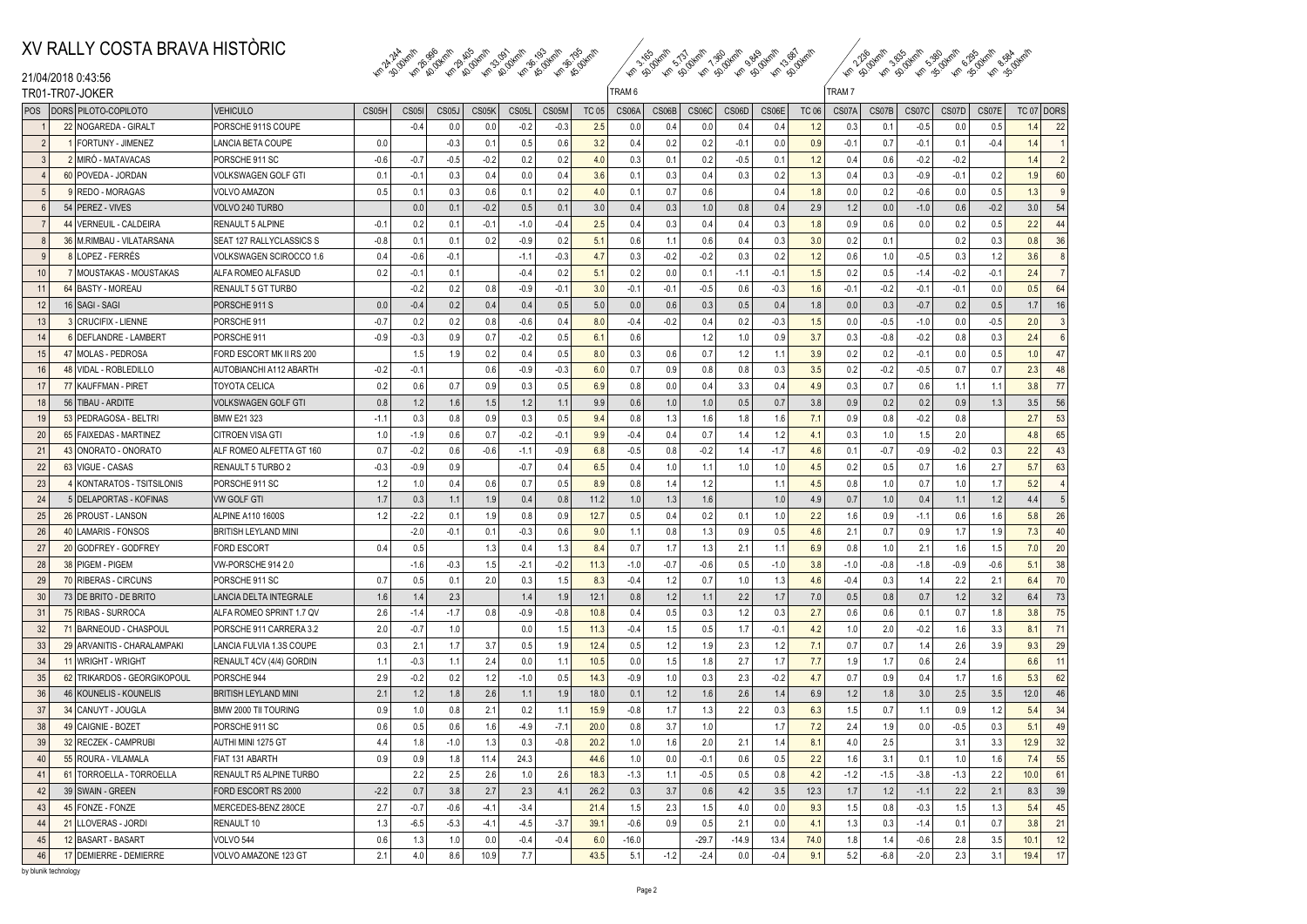$T$ RAM 7 km 3 .0 km 4 .09 km 4 .00 km 4 .09 km 4 .09 km 4 .09 km 4 .09 km 4 .09 km 4 .09 km 4 .09 km 4 .09 km 4 .09<br>A .09 km 4 .09 km 4 .09 km 4 .09 km 4 .09 km 4 .09 km 4 .09 km 4 .09 km 4 .09 km 4 .09 km 4 .09 km 4 .09 km 4 km 5.737 km 13.687 km 9.9 km 13.69 km 13.69 km 13.69 km 13.69 km 13.69 km 13.69 km 13.69 km 13.69 km 13.69 km <br>Km 13.687 km 13.69 km 13.69 km 13.69 km 13.69 km 13.69 km 13.69 km 13.69 km 13.69 km 13.69 km 13.69 km 13.69 k

### 21/04/2018 0:43:56 TR01-TR07-JOKER

|                  | TR01-TR07-JOKER                         |                               |        |              |        |        |        |        |              | TRAM 6  |        |         |         |        |              | tram 7 |        |        |        |        |            |                |
|------------------|-----------------------------------------|-------------------------------|--------|--------------|--------|--------|--------|--------|--------------|---------|--------|---------|---------|--------|--------------|--------|--------|--------|--------|--------|------------|----------------|
| POS <sup>-</sup> | DORS PILOTO-COPILOTO                    | <b>VEHICULO</b>               | CS05H  | <b>CS051</b> | CS05J  | CS05K  | CS05L  | CS05M  | <b>TC 05</b> | CS06A   | CS06B  | CS06C   | CS06D   | CS06E  | <b>TC 06</b> | CS07A  | CS07B  | CS07C  | CS07D  | CS07E  | TC 07 DORS |                |
|                  | 22<br>NOGAREDA - GIRALT                 | PORSCHE 911S COUPE            |        | $-0.4$       | 0.0    | 0.0    | $-0.2$ | $-0.3$ | 2.5          | 0.0     | 0.4    | 0.0     | 0.4     | 0.4    | 1.2          | 0.3    | 0.1    | $-0.5$ | 0.0    | 0.5    | 1.4        | 22             |
| $\overline{2}$   | FORTUNY - JIMENEZ                       | LANCIA BETA COUPE             | 0.0    |              | $-0.3$ | 0.1    | 0.5    | 0.6    | 3.2          | 0.4     | 0.2    | 0.2     | $-0.1$  | 0.0    | 0.9          | $-0.1$ | 0.7    | $-0.1$ | 0.1    | $-0.4$ | 1.4        | $\overline{1}$ |
| $\mathbf{3}$     | MIRÓ - MATAVACAS                        | PORSCHE 911 SC                | $-0.6$ | $-0.7$       | $-0.5$ | $-0.2$ | 0.2    | 0.2    | 4.0          | 0.3     | 0.1    | 0.2     | $-0.5$  | 0.1    | 1.2          | 0.4    | 0.6    | $-0.2$ | $-0.2$ |        | 1.4        | $\overline{2}$ |
| $\overline{4}$   | 60 POVEDA - JORDAN                      | VOLKSWAGEN GOLF GTI           | 0.1    | $-0.1$       | 0.3    | 0.4    | 0.0    | 0.4    | 3.6          | 0.1     | 0.3    | 0.4     | 0.3     | 0.2    | 1.3          | 0.4    | 0.3    | $-0.9$ | $-0.1$ | 0.2    | 1.9        | 60             |
| $5\phantom{.0}$  | 9 <sup>1</sup><br><b>REDO - MORAGAS</b> | VOLVO AMAZON                  | 0.5    | 0.1          | 0.3    | 0.6    | 0.1    | 0.2    | 4.0          | 0.1     | 0.7    | 0.6     |         | 0.4    | 1.8          | 0.0    | 0.2    | $-0.6$ | 0.0    | 0.5    | 1.3        | 9              |
| $6\overline{6}$  | 54 PEREZ - VIVES                        | VOLVO 240 TURBO               |        | 0.0          | 0.1    | $-0.2$ | 0.5    | 0.1    | 3.0          | 0.4     | 0.3    | 1.0     | 0.8     | 0.4    | 2.9          | 1.2    | 0.0    | $-1.0$ | 0.6    | $-0.2$ | 3.0        | 54             |
| $\overline{7}$   | 44 VERNEUIL - CALDEIRA                  | <b>RENAULT 5 ALPINE</b>       | $-0.1$ | 0.2          | 0.1    | $-0.1$ | $-1.0$ | $-0.4$ | 2.5          | 0.4     | 0.3    | 0.4     | 0.4     | 0.3    | 1.8          | 0.9    | 0.6    | 0.0    | 0.2    | 0.5    | 2.2        | 44             |
| $\,$ 8           | 36 M.RIMBAU - VILATARSANA               | SEAT 127 RALLYCLASSICS S      | $-0.8$ | 0.1          | 0.1    | 0.2    | $-0.9$ | 0.2    | 5.1          | 0.6     | 1.1    | 0.6     | 0.4     | 0.3    | 3.0          | 0.2    | 0.1    |        | 0.2    | 0.3    | 0.8        | 36             |
| 9                | 8 LOPEZ - FERRÉS                        | VOLKSWAGEN SCIROCCO 1.6       | 0.4    | $-0.6$       | $-0.1$ |        | $-1.1$ | $-0.3$ | 4.7          | 0.3     | $-0.2$ | $-0.2$  | 0.3     | 0.2    | 1.2          | 0.6    | 1.0    | $-0.5$ | 0.3    | 1.2    | 3.6        | 8              |
| 10               | 7 MOUSTAKAS - MOUSTAKAS                 | ALFA ROMEO ALFASUD            | 0.2    | $-0.1$       | 0.1    |        | $-0.4$ | 0.2    | 5.1          | 0.2     | 0.0    | 0.1     | $-1.1$  | $-0.1$ | 1.5          | 0.2    | 0.5    | $-1.4$ | $-0.2$ | $-0.1$ | 2.4        | $\overline{7}$ |
| 11               | 64 BASTY - MOREAU                       | RENAULT 5 GT TURBO            |        | $-0.2$       | 0.2    | 0.8    | $-0.9$ | $-0.1$ | 3.0          | $-0.1$  | $-0.1$ | $-0.5$  | 0.6     | $-0.3$ | 1.6          | $-0.1$ | $-0.2$ | $-0.1$ | $-0.1$ | 0.0    | 0.5        | 64             |
| 12               | 16 SAGI - SAGI                          | PORSCHE 911 S                 | 0.0    | $-0.4$       | 0.2    | 0.4    | 0.4    | 0.5    | 5.0          | 0.0     | 0.6    | 0.3     | 0.5     | 0.4    | 1.8          | 0.0    | 0.3    | $-0.7$ | 0.2    | 0.5    | 1.7        | 16             |
| 13               | 3 CRUCIFIX - LIENNE                     | PORSCHE 911                   | $-0.7$ | 0.2          | 0.2    | 0.8    | $-0.6$ | 0.4    | 8.0          | $-0.4$  | $-0.2$ | 0.4     | 0.2     | $-0.3$ | 1.5          | 0.0    | $-0.5$ | $-1.0$ | 0.0    | $-0.5$ | 2.0        | 3              |
| 14               | 6 DEFLANDRE - LAMBERT                   | PORSCHE 911                   | $-0.9$ | $-0.3$       | 0.9    | 0.7    | $-0.2$ | 0.5    | 6.1          | 0.6     |        | 1.2     | 1.0     | 0.9    | 3.7          | 0.3    | $-0.8$ | $-0.2$ | 0.8    | 0.3    | 2.4        | $6\,$          |
| 15               | 47 MOLAS - PEDROSA                      | FORD ESCORT MK II RS 200      |        | 1.5          | 1.9    | 0.2    | 0.4    | 0.5    | 8.0          | 0.3     | 0.6    | 0.7     | 1.2     | 1.1    | 3.9          | 0.2    | 0.2    | $-0.1$ | 0.0    | 0.5    | 1.0        | 47             |
| 16               | 48 VIDAL - ROBLEDILLO                   | AUTOBIANCHI A112 ABARTH       | $-0.2$ | $-0.1$       |        | 0.6    | $-0.9$ | $-0.3$ | 6.0          | 0.7     | 0.9    | 0.8     | 0.8     | 0.3    | 3.5          | 0.2    | $-0.2$ | $-0.5$ | 0.7    | 0.7    | 2.3        | 48             |
| 17               | 77<br><b>KAUFFMAN - PIRET</b>           | TOYOTA CELICA                 | 0.2    | 0.6          | 0.7    | 0.9    | 0.3    | 0.5    | 6.9          | 0.8     | 0.0    | 0.4     | 3.3     | 0.4    | 4.9          | 0.3    | 0.7    | 0.6    | 1.1    | 1.1    | 3.8        | 77             |
| 18               | 56 TIBAU - ARDITE                       | VOLKSWAGEN GOLF GTI           | 0.8    | 1.2          | 1.6    | 1.5    | 1.2    | 1.1    | 9.9          | 0.6     | 1.0    | 1.0     | 0.5     | 0.7    | 3.8          | 0.9    | 0.2    | 0.2    | 0.9    | 1.3    | 3.5        | 56             |
| 19               | 53<br>PEDRAGOSA - BELTRI                | BMW E21 323                   | $-1.1$ | 0.3          | 0.8    | 0.9    | 0.3    | 0.5    | 9.4          | 0.8     | 1.3    | 1.6     | 1.8     | 1.6    | 7.1          | 0.9    | 0.8    | $-0.2$ | 0.8    |        | 2.7        | 53             |
| 20               | 65<br><b>FAIXEDAS - MARTINEZ</b>        | CITROEN VISA GTI              | 1.0    | $-1.9$       | 0.6    | 0.7    | $-0.2$ | $-0.1$ | 9.9          | $-0.4$  | 0.4    | 0.7     | 1.4     | 1.2    | 4.1          | 0.3    | 1.0    | 1.5    | 2.0    |        | 4.8        | 65             |
| 21               | 43 ONORATO - ONORATO                    | ALF ROMEO ALFETTA GT 160      | 0.7    | $-0.2$       | 0.6    | $-0.6$ | $-1.1$ | $-0.9$ | 6.8          | $-0.5$  | 0.8    | $-0.2$  | 1.4     | $-1.7$ | 4.6          | 0.1    | $-0.7$ | $-0.9$ | $-0.2$ | 0.3    | 2.2        | 43             |
| 22               | 63 VIGUE - CASAS                        | RENAULT 5 TURBO 2             | $-0.3$ | $-0.9$       | 0.9    |        | $-0.7$ | 0.4    | 6.5          | 0.4     | 1.0    | 1.1     | 1.0     | 1.0    | 4.5          | 0.2    | 0.5    | 0.7    | 1.6    | 2.7    | 5.7        | 63             |
| 23               | KONTARATOS - TSITSILONIS                | PORSCHE 911 SC                | 1.2    | 1.0          | 0.4    | 0.6    | 0.7    | 0.5    | 8.9          | 0.8     | 1.4    | 1.2     |         | 1.1    | 4.5          | 0.8    | 1.0    | 0.7    | 1.0    | 1.7    | 5.2        | $\overline{4}$ |
| 24               | 5 DELAPORTAS - KOFINAS                  | VW GOLF GTI                   | 1.7    | 0.3          | 1.1    | 1.9    | 0.4    | 0.8    | 11.2         | 1.0     | 1.3    | 1.6     |         | 1.0    | 4.9          | 0.7    | 1.0    | 0.4    | 1.1    | 1.2    | 4.4        | 5              |
| 25               | 26   PROUST - LANSON                    | <b>ALPINE A110 1600S</b>      | 1.2    | $-2.2$       | 0.1    | 1.9    | 0.8    | 0.9    | 12.7         | 0.5     | 0.4    | 0.2     | 0.1     | 1.0    | 2.2          | 1.6    | 0.9    | $-1.1$ | 0.6    | 1.6    | 5.8        | 26             |
| 26               | 40 LAMARIS - FONSOS                     | BRITISH LEYLAND MINI          |        | $-2.0$       | $-0.1$ | 0.1    | $-0.3$ | 0.6    | 9.0          | 1.1     | 0.8    | 1.3     | 0.9     | 0.5    | 4.6          | 2.1    | 0.7    | 0.9    | 1.7    | 1.9    | 7.3        | 40             |
| 27               | 20 GODFREY - GODFREY                    | <b>FORD ESCORT</b>            | 0.4    | 0.5          |        | 1.3    | 0.4    | 1.3    | 8.4          | 0.7     | 1.7    | 1.3     | 2.1     | 1.1    | 6.9          | 0.8    | 1.0    | 2.1    | 1.6    | 1.5    | 7.0        | 20             |
| 28               | 38<br>PIGEM - PIGEM                     | VW-PORSCHE 914 2.0            |        | $-1.6$       | $-0.3$ | 1.5    | $-2.1$ | $-0.2$ | 11.3         | $-1.0$  | $-0.7$ | $-0.6$  | 0.5     | $-1.0$ | 3.8          | $-1.0$ | $-0.8$ | $-1.8$ | $-0.9$ | $-0.6$ | 5.1        | 38             |
| 29               | 70 RIBERAS - CIRCUNS                    | PORSCHE 911 SC                | 0.7    | 0.5          | 0.1    | 2.0    | 0.3    | 1.5    | 8.3          | $-0.4$  | 1.2    | 0.7     | 1.0     | 1.3    | 4.6          | $-0.4$ | 0.3    | 1.4    | 2.2    | 2.1    | 6.4        | 70             |
| 30               | 73 IDE BRITO - DE BRITO                 | <b>LANCIA DELTA INTEGRALE</b> | 1.6    | 1.4          | 2.3    |        | 1.4    | 1.9    | 12.1         | 0.8     | 1.2    | 1.1     | 2.2     | 1.7    | 7.0          | 0.5    | 0.8    | 0.7    | 1.2    | 3.2    | 6.4        | 73             |
| 31               | 75 RIBAS - SURROCA                      | ALFA ROMEO SPRINT 1.7 QV      | 2.6    | $-1.4$       | $-1.7$ | 0.8    | $-0.9$ | $-0.8$ | 10.8         | 0.4     | 0.5    | 0.3     | 1.2     | 0.3    | 2.7          | 0.6    | 0.6    | 0.1    | 0.7    | 1.8    | 3.8        | 75             |
| 32               | 71 BARNEOUD - CHASPOUL                  | PORSCHE 911 CARRERA 3.2       | 2.0    | $-0.7$       | 1.0    |        | 0.0    | 1.5    | 11.3         | $-0.4$  | 1.5    | 0.5     | 1.7     | $-0.1$ | 4.2          | 1.0    | 2.0    | $-0.2$ | 1.6    | 3.3    | 8.1        | 71             |
| 33               | 29 ARVANITIS - CHARALAMPAKI             | LANCIA FULVIA 1.3S COUPE      | 0.3    | 2.1          | 1.7    | 3.7    | 0.5    | 1.9    | 12.4         | 0.5     | 1.2    | 1.9     | 2.3     | 1.2    | 7.1          | 0.7    | 0.7    | 1.4    | 2.6    | 3.9    | 9.3        | 29             |
| 34               | <b>WRIGHT - WRIGHT</b><br>11            | RENAULT 4CV (4/4) GORDIN      | 1.1    | $-0.3$       | 1.1    | 2.4    | 0.0    | 1.1    | 10.5         | 0.0     | 1.5    | 1.8     | 2.7     | 1.7    | 7.7          | 1.9    | 1.7    | 0.6    | 2.4    |        | 6.6        | 11             |
| 35               | TRIKARDOS - GEORGIKOPOUL<br>62          | PORSCHE 944                   | 2.9    | $-0.2$       | 0.2    | 1.2    | $-1.0$ | 0.5    | 14.3         | $-0.9$  | 1.0    | 0.3     | 2.3     | $-0.2$ | 4.7          | 0.7    | 0.9    | 0.4    | 1.7    | 1.6    | 5.3        | 62             |
| 36               | 46<br>KOUNELIS - KOUNELIS               | BRITISH LEYLAND MINI          | 2.1    | 1.2          | 1.8    | 2.6    | 1.1    | 1.9    | 18.0         | 0.1     | 1.2    | 1.6     | 2.6     | 1.4    | 6.9          | 1.2    | 1.8    | 3.0    | 2.5    | 3.5    | 12.0       | 46             |
| 37               | 34<br>CANUYT - JOUGLA                   | <b>BMW 2000 TII TOURING</b>   | 0.9    | 1.0          | 0.8    | 2.1    | 0.2    | 1.1    | 15.9         | $-0.8$  | 1.7    | 1.3     | 2.2     | 0.3    | 6.3          | 1.5    | 0.7    | 1.1    | 0.9    | 1.2    | 5.4        | 34             |
| 38               | 49 CAIGNIE - BOZET                      | PORSCHE 911 SC                | 0.6    | 0.5          | 0.6    | 1.6    | $-4.9$ | $-7.1$ | 20.0         | 0.8     | 3.7    | 1.0     |         | 1.7    | 7.2          | 2.4    | 1.9    | 0.0    | $-0.5$ | 0.3    | 5.1        | 49             |
| 39               | 32<br>RECZEK - CAMPRUBI                 | AUTHI MINI 1275 GT            | 4.4    | 1.8          | $-1.0$ | 1.3    | 0.3    | $-0.8$ | 20.2         | 1.0     | 1.6    | 2.0     | 2.1     | 1.4    | 8.1          | 4.0    | 2.5    |        | 3.1    | 3.3    | 12.9       | 32             |
| 40               | 55 ROURA - VILAMALA                     | FIAT 131 ABARTH               | 0.9    | 0.9          | 1.8    | 11.4   | 24.3   |        | 44.6         | 1.0     | 0.0    | $-0.1$  | 0.6     | 0.5    | 2.2          | 1.6    | 3.1    | 0.1    | 1.0    | 1.6    | 7.4        | 55             |
| 41               | 61 TORROELLA - TORROELLA                | RENAULT R5 ALPINE TURBO       |        | 2.2          | 2.5    | 2.6    | 1.0    | 2.6    | 18.3         | $-1.3$  | 1.1    | $-0.5$  | 0.5     | 0.8    | 4.2          | $-1.2$ | $-1.5$ | $-3.8$ | $-1.3$ | 2.2    | 10.0       | 61             |
| 42               | 39 SWAIN - GREEN                        | FORD ESCORT RS 2000           | $-2.2$ | 0.7          | 3.8    | 2.7    | 2.3    | 4.1    | 26.2         | 0.3     | 3.7    | 0.6     | 4.2     | 3.5    | 12.3         | 1.7    | 1.2    | $-1.1$ | 2.2    | 2.1    | 8.3        | 39             |
| 43               | 45<br>FONZE - FONZE                     | MERCEDES-BENZ 280CE           | 2.7    | $-0.7$       | $-0.6$ | $-4.1$ | $-3.4$ |        | 21.4         | 1.5     | 2.3    | 1.5     | 4.0     | 0.0    | 9.3          | 1.5    | 0.8    | $-0.3$ | 1.5    | 1.3    | 5.4        | 45             |
| 44               | 21<br>LLOVERAS - JORDI                  | RENAULT 10                    | 1.3    | $-6.5$       | $-5.3$ | $-4.1$ | $-4.5$ | $-3.7$ | 39.1         | $-0.6$  | 0.9    | 0.5     | 2.1     | 0.0    | 4.1          | 1.3    | 0.3    | $-1.4$ | 0.1    | 0.7    | 3.8        | 21             |
| 45               | 12 BASART - BASART                      | VOLVO 544                     | 0.6    | 1.3          | 1.0    | 0.0    | $-0.4$ | $-0.4$ | 6.0          | $-16.0$ |        | $-29.7$ | $-14.9$ | 13.4   | 74.0         | 1.8    | 1.4    | $-0.6$ | 2.8    | 3.5    | 10.1       | 12             |
| 46               | 17 DEMIERRE - DEMIERRE                  | VOLVO AMAZONE 123 GT          | 2.1    | 4.0          | 8.6    | 10.9   | 7.7    |        | 43.5         | 5.1     | $-1.2$ | $-2.4$  | 0.0     | $-0.4$ | 9.1          | 5.2    | $-6.8$ | $-2.0$ | 2.3    | 3.1    | 19.4       | 17             |
|                  |                                         |                               |        |              |        |        |        |        |              |         |        |         |         |        |              |        |        |        |        |        |            |                |

by blunik technology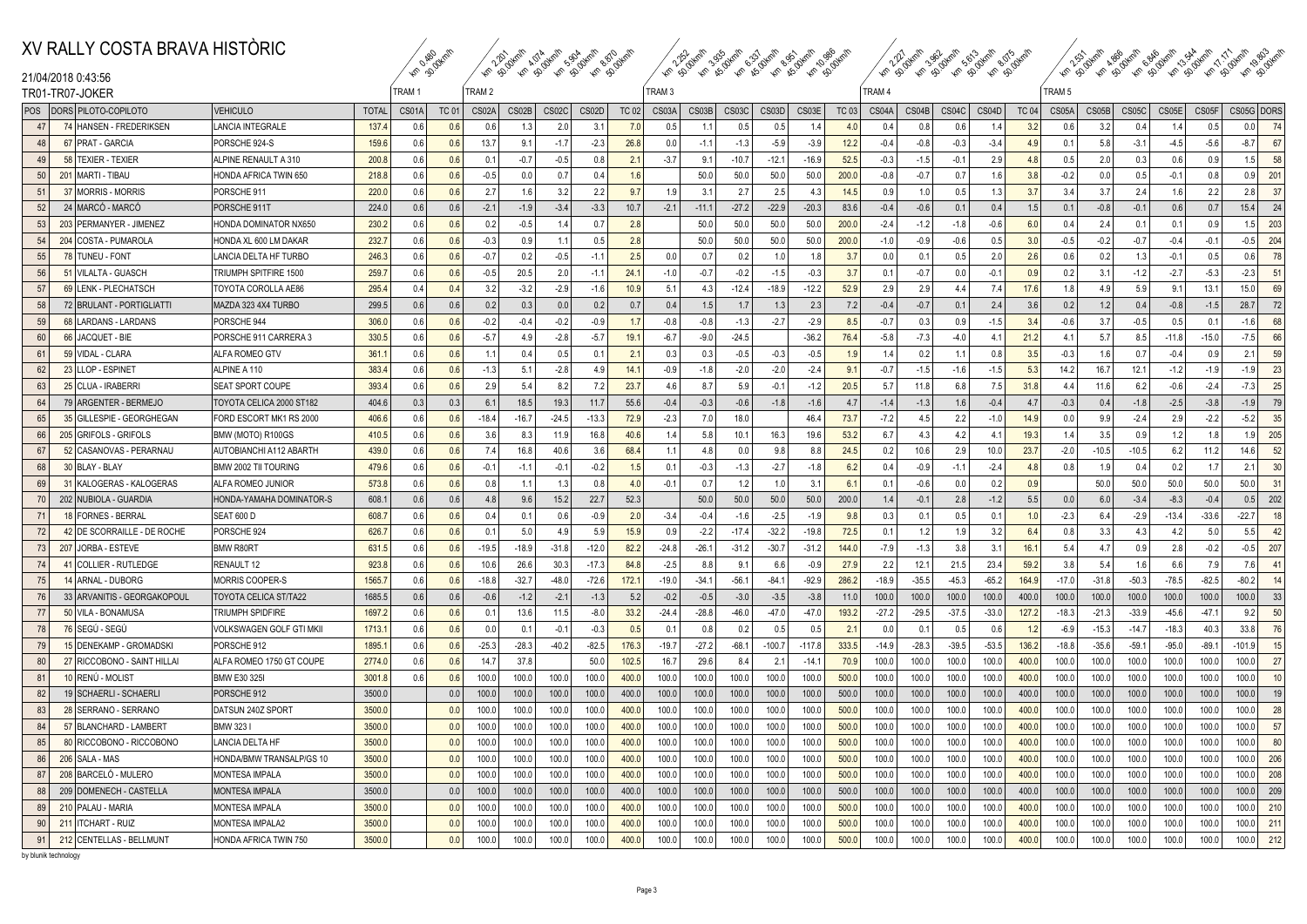$($ TRAM 1  $TRAM 2$  $TRAM 3$  $T$ RAM 4  $\sqrt{T}$ RAM 5 km 2.200 km 2.200 km 3.200 km 4.07 km 5.90 km 4.00 km 4.00 km 4.00 km 4.00 km 5.90 km 5.90 km 5.90 km 5.90 km **20.00 km**/h 20.00 km/h 20.00 km/h 20.00 km km 3.935 cm 5.95 km 5.95 km 5.95 km 5.95 km 5.95 km 5.95 km 5.95 km 5.95 km 5.95 km 5.95 km 5.95 km 5.95 km 5.<br>A strategy of the strategy of the strategy of the strategy of the strategy of the strategy of the strategy of  $\begin{matrix} \sqrt{4} \mathcal{N}_{\rm eff} \sim 0 & \mathcal{N}_{\rm eff} \sim 0 & \mathcal{N}_{\rm eff} \sim 0 & \mathcal{N}_{\rm eff} \sim 0 & \mathcal{N}_{\rm eff} \sim 0 & \mathcal{N}_{\rm eff} \sim 0 & \mathcal{N}_{\rm eff} \sim 0 & \mathcal{N}_{\rm eff} \sim 0 & \mathcal{N}_{\rm eff} \sim 0 & \mathcal{N}_{\rm eff} \sim 0 & \mathcal{N}_{\rm eff} \sim 0 & \mathcal{N}_{\rm eff} \sim 0 & \mathcal{N}_{\rm eff} \sim 0 & \mathcal{N}_{\rm eff} \sim 0 &$ 

### 21/04/2018 0:43:56 TR01-TR07-JOKER

| POS            | DORS PILOTO-COPILOTO         | <b>VEHICULO</b>                | <b>TOTAL</b> | CS01A | <b>TC 01</b> | CS02A   | CS02B   | CS02C   | CS02D   | <b>TC 021</b> | CS03A   | CS03B   | CS03C   | CS03D    | CS03E    | <b>TC 03</b> | CS04A   | CS04B   | CS04C   | CS04D   | <b>TC 04</b> | CS05A   | CS05B   | CS05C   | CS05E   | CS05F   | CS05G DORS     |
|----------------|------------------------------|--------------------------------|--------------|-------|--------------|---------|---------|---------|---------|---------------|---------|---------|---------|----------|----------|--------------|---------|---------|---------|---------|--------------|---------|---------|---------|---------|---------|----------------|
| 47             | 74 HANSEN - FREDERIKSEN      | LANCIA INTEGRALE               | 137.4        | 0.6   | 0.6          | 0.6     | 1.3     | 2.0     | 3.1     | 7.0           | 0.5     | 1.1     | 0.5     | 0.5      | 1.4      | 4.0          | 0.4     | 0.8     | 0.6     | 1.4     | 3.2          | 0.6     | 3.2     | 0.4     | 1.4     | 0.5     | 74<br>0.0      |
| 48             | 67 PRAT - GARCIA             | PORSCHE 924-S                  | 159.6        | 0.6   | 0.6          | 13.7    | 9.1     | $-1.7$  | $-2.3$  | 26.8          | 0.0     | $-1.1$  | $-1.3$  | $-5.9$   | $-3.9$   | 12.2         | $-0.4$  | $-0.8$  | $-0.3$  | $-3.4$  | 4.9          | 0.1     | 5.8     | $-3.1$  | $-4.5$  | $-5.6$  | 67<br>$-8.7$   |
| 49             | 58 TEXIER - TEXIER           | ALPINE RENAULT A 310           | 200.8        | 0.6   | 0.6          | 0.1     | $-0.7$  | $-0.5$  | 0.8     | 2.1           | $-3.7$  | 9.1     | $-10.7$ | $-12.1$  | $-16.9$  | 52.5         | $-0.3$  | $-1.5$  | $-0.1$  | 2.9     | 4.8          | 0.5     | 2.0     | 0.3     | 0.6     | 0.9     | 58<br>1.5      |
| 5 <sup>0</sup> | 201<br>MARTI - TIBAU         | HONDA AFRICA TWIN 650          | 218.8        | 0.6   | 0.6          | $-0.5$  | 0.0     | 0.7     | 0.4     | 1.6           |         | 50.0    | 50.0    | 50.0     | 50.0     | 200.0        | $-0.8$  | $-0.7$  | 0.7     | 1.6     | 3.8          | $-0.2$  | 0.0     | 0.5     | $-0.1$  | 0.8     | 0.9<br>201     |
| 5 <sup>′</sup> | 37 MORRIS - MORRIS           | PORSCHE 91                     | 220.0        | 0.6   | 0.6          | 2.7     | 1.6     | 3.2     | 2.2     | 9.7           | 1.9     | 3.1     | 2.7     | 2.5      | 4.3      | 14.5         | 0.9     | 1.0     | 0.5     | 1.3     | 3.7          | 3.4     | 3.7     | 2.4     | 1.6     | 2.2     | 37<br>2.8      |
| 52             | 24 MARCÓ - MARCÓ             | PORSCHE 911T                   | 224.0        | 0.6   | 0.6          | $-2.1$  | $-1.9$  | $-3.4$  | $-3.3$  | 10.7          | $-2.1$  | $-11.1$ | $-27.2$ | $-22.9$  | $-20.3$  | 83.6         | $-0.4$  | $-0.6$  | 0.1     | 0.4     | 1.5          | 0.1     | $-0.8$  | $-0.1$  | 0.6     | 0.7     | 24<br>15.4     |
| 53             | 203 PERMANYER - JIMENEZ      | HONDA DOMINATOR NX650          | 230.2        | 0.6   | 0.6          | 0.2     | $-0.5$  | 1.4     | 0.7     | 2.8           |         | 50.0    | 50.0    | 50.0     | 50.0     | 200.0        | $-2.4$  | $-1.2$  | $-1.8$  | $-0.6$  | 6.0          | 0.4     | 2.4     | 0.1     | 0.1     | 0.9     | 203<br>1.5     |
| 54             | 204 COSTA - PUMAROLA         | HONDA XL 600 LM DAKAR          | 232.7        | 0.6   | 0.6          | $-0.3$  | 0.9     | 1.1     | 0.5     | 2.8           |         | 50.0    | 50.0    | 50.0     | 50.0     | 200.0        | $-1.0$  | $-0.9$  | $-0.6$  | 0.5     | 3.0          | $-0.5$  | $-0.2$  | $-0.7$  | $-0.4$  | $-0.1$  | 204<br>$-0.5$  |
| 55             | 78 TUNEU - FONT              | <b>LANCIA DELTA HF TURBO</b>   | 246.3        | 0.6   | 0.6          | $-0.7$  | 0.2     | $-0.5$  | $-1.1$  | 2.5           | 0.0     | 0.7     | 0.2     | 1.0      | 1.8      | 3.7          | 0.0     | 0.1     | 0.5     | 2.0     | 2.6          | 0.6     | 0.2     | 1.3     | $-0.1$  | 0.5     | 78<br>0.6      |
| 56             | 51 VILALTA - GUASCH          | TRIUMPH SPITFIRE 1500          | 259.7        | 0.6   | 0.6          | $-0.5$  | 20.5    | 2.0     | $-1.1$  | 24.1          | $-1.0$  | $-0.7$  | $-0.2$  | $-1.5$   | $-0.3$   | 3.7          | 0.1     | $-0.7$  | 0.0     | $-0.1$  | 0.9          | 0.2     | 3.1     | $-1.2$  | $-2.7$  | $-5.3$  | $-2.3$<br>51   |
| 57             | 69 LENK - PLECHATSCH         | TOYOTA COROLLA AE86            | 295.4        | 0.4   | 0.4          | 3.2     | $-3.2$  | $-2.9$  | $-1.6$  | 10.9          | 5.1     | 4.3     | $-12.4$ | $-18.9$  | $-12.2$  | 52.9         | 2.9     | 2.9     | 4.4     | 7.4     | 17.6         | 1.8     | 4.9     | 5.9     | 9.1     | 13.1    | 69<br>15.0     |
| 58             | 72 BRULANT - PORTIGLIATTI    | MAZDA 323 4X4 TURBO            | 299.5        | 0.6   | 0.6          | 0.2     | 0.3     | 0.0     | 0.2     | 0.7           | 0.4     | 1.5     | 1.7     | 1.3      | 2.3      | 7.2          | $-0.4$  | $-0.7$  | 0.1     | 2.4     | 3.6          | 0.2     | 1.2     | 0.4     | $-0.8$  | $-1.5$  | 72<br>28.7     |
| 59             | 68 LARDANS - LARDANS         | PORSCHE 944                    | 306.0        | 0.6   | 0.6          | $-0.2$  | $-0.4$  | $-0.2$  | $-0.9$  | 1.7           | $-0.8$  | $-0.8$  | $-1.3$  | $-2.7$   | $-2.9$   | 8.5          | $-0.7$  | 0.3     | 0.9     | $-1.5$  | 3.4          | $-0.6$  | 3.7     | $-0.5$  | 0.5     | 0.1     | 68<br>$-1.6$   |
| 60             | 66 JACQUET - BIE             | PORSCHE 911 CARRERA 3          | 330.5        | 0.6   | 0.6          | $-5.7$  | 4.9     | $-2.8$  | $-5.7$  | 19.1          | $-6.7$  | $-9.0$  | $-24.5$ |          | $-36.2$  | 76.4         | $-5.8$  | $-7.3$  | $-4.0$  | 4.1     | 21.2         | 4.1     | 5.7     | 8.5     | $-11.8$ | $-15.0$ | 66<br>$-7.5$   |
| 61             | 59 VIDAL - CLARA             | ALFA ROMEO GTV                 | 361.1        | 0.6   | 0.6          | $-1.1$  | 0.4     | 0.5     | 0.1     | 2.1           | 0.3     | 0.3     | $-0.5$  | $-0.3$   | $-0.5$   | 1.9          | 1.4     | 0.2     | 1.1     | 0.8     | 3.5          | $-0.3$  | 1.6     | 0.7     | $-0.4$  | 0.9     | 2.1<br>59      |
| 62             | 23 LLOP - ESPINET            | ALPINE A 110                   | 383.4        | 0.6   | 0.6          | $-1.3$  | 5.1     | $-2.8$  | 4.9     | 14.1          | $-0.9$  | $-1.8$  | $-2.0$  | $-2.0$   | $-2.4$   | 9.1          | $-0.7$  | $-1.5$  | $-1.6$  | $-1.5$  | 5.3          | 14.2    | 16.7    | 12.1    | $-1.2$  | $-1.9$  | $-1.9$<br>23   |
| 63             | 25 CLUA - IRABERR            | <b>SEAT SPORT COUPE</b>        | 393.4        | 0.6   | 0.6          | 2.9     | 5.4     | 8.2     | 7.2     | 23.7          | 4.6     | 8.7     | 5.9     | $-0.1$   | $-1.2$   | 20.5         | 5.7     | 11.8    | 6.8     | 7.5     | 31.8         | 4.4     | 11.6    | 6.2     | $-0.6$  | $-2.4$  | 25<br>$-7.3$   |
| 64             | 79   ARGENTER - BERMEJO      | TOYOTA CELICA 2000 ST182       | 404.6        | 0.3   | 0.3          | 6.1     | 18.5    | 19.3    | 11.7    | 55.6          | $-0.4$  | $-0.3$  | $-0.6$  | $-1.8$   | $-1.6$   | 4.7          | $-1.4$  | $-1.3$  | 1.6     | $-0.4$  | 4.7          | $-0.3$  | 0.4     | $-1.8$  | $-2.5$  | $-3.8$  | 79<br>$-1.9$   |
| 65             | 35 GILLESPIE - GEORGHEGAN    | FORD ESCORT MK1 RS 2000        | 406.6        | 0.6   | 0.6          | $-18.4$ | $-16.7$ | $-24.5$ | $-13.3$ | 72.9          | $-2.3$  | 7.0     | 18.0    |          | 46.4     | 73.7         | $-7.2$  | 4.5     | 2.2     | $-1.0$  | 14.9         | 0.0     | 9.9     | $-2.4$  | 2.9     | $-2.2$  | 35<br>$-5.2$   |
| 66             | 205 GRIFOLS - GRIFOLS        | BMW (MOTO) R100GS              | 410.5        | 0.6   | 0.6          | 3.6     | 8.3     | 11.9    | 16.8    | 40.6          | 1.4     | 5.8     | 10.1    | 16.3     | 19.6     | 53.2         | 6.7     | 4.3     | 4.2     | 4.1     | 19.3         | 1.4     | 3.5     | 0.9     | 1.2     | 1.8     | 205<br>1.9     |
| 67             | 52 CASANOVAS - PERARNAU      | <b>AUTOBIANCHI A112 ABARTH</b> | 439.0        | 0.6   | 0.6          | 7.4     | 16.8    | 40.6    | 3.6     | 68.4          | 1.1     | 4.8     | 0.0     | 9.8      | 8.8      | 24.5         | 0.2     | 10.6    | 2.9     | 10.0    | 23.7         | $-2.0$  | $-10.5$ | $-10.5$ | 6.2     | 11.2    | 52<br>14.6     |
| 68             | $30$ BLAY - BLA)             | BMW 2002 TII TOURING           | 479.6        | 0.6   | 0.6          | $-0.1$  | $-1.1$  | $-0.1$  | $-0.2$  | 1.5           | 0.1     | $-0.3$  | $-1.3$  | $-2.7$   | $-1.8$   | 6.2          | 0.4     | $-0.9$  | $-1.1$  | $-2.4$  | 4.8          | 0.8     | 1.9     | 0.4     | 0.2     | 1.7     | 30<br>2.1      |
| 69             | 31<br> KALOGERAS - KALOGERAS | ALFA ROMEO JUNIOR              | 573.8        | 0.6   | 0.6          | 0.8     | 1.1     | 1.3     | 0.8     | 4.0           | $-0.1$  | 0.7     | 1.2     | 1.0      | 3.1      | 6.           | 0.1     | $-0.6$  | 0.0     | 0.2     | 0.9          |         | 50.0    | 50.0    | 50.0    | 50.0    | 31<br>50.0     |
| 70             | 202 NUBIOLA - GUARDIA        | HONDA-YAMAHA DOMINATOR-S       | 608.1        | 0.6   | 0.6          | 4.8     | 9.6     | 15.2    | 22.7    | 52.3          |         | 50.0    | 50.0    | 50.0     | 50.0     | 200.0        | 1.4     | $-0.1$  | 2.8     | $-1.2$  | 5.5          | 0.0     | 6.0     | $-3.4$  | $-8.3$  | $-0.4$  | 202<br>0.5     |
| 71             | 18 FORNES - BERRAL           | SEAT 600 D                     | 608.7        | 0.6   | 0.6          | 0.4     | 0.1     | 0.6     | $-0.9$  | 2.0           | $-3.4$  | $-0.4$  | $-1.6$  | $-2.5$   | $-1.9$   | 9.8          | 0.3     | 0.1     | 0.5     | 0.1     | 1.0          | $-2.3$  | 6.4     | $-2.9$  | $-13.4$ | $-33.6$ | $-22.7$<br>18  |
| 72             | 42 DE SCORRAILLE - DE ROCHE  | PORSCHE 924                    | 626.7        | 0.6   | 0.6          | 0.1     | 5.0     | 4.9     | 5.9     | 15.9          | 0.9     | $-2.2$  | $-17.4$ | $-32.2$  | $-19.8$  | 72.5         | 0.1     | 1.2     | 1.9     | 3.2     | 6.4          | 0.8     | 3.3     | 4.3     | 4.2     | 5.0     | 42<br>5.5      |
| 73             | 207<br>JORBA - ESTEVE        | BMW R80R                       | 631.5        | 0.6   | 0.6          | $-19.5$ | $-18.9$ | $-31.8$ | $-12.0$ | 82.2          | $-24.8$ | $-26.1$ | $-31.2$ | $-30.7$  | $-31.2$  | 144.0        | $-7.9$  | $-1.3$  | 3.8     | 3.1     | 16.1         | 5.4     | 4.7     | 0.9     | 2.8     | $-0.2$  | 207<br>$-0.5$  |
| 74             | 41 COLLIER - RUTLEDGE        | <b>RENAULT 12</b>              | 923.8        | 0.6   | 0.6          | 10.6    | 26.6    | 30.3    | $-17.3$ | 84.8          | $-2.5$  | 8.8     | 9.1     | 6.6      | $-0.9$   | 27.9         | 2.2     | 12.1    | 21.5    | 23.4    | 59.2         | 3.8     | 5.4     | 1.6     | 6.6     | 7.9     | 7.6<br>41      |
| 75             | 14 ARNAL - DUBORG            | MORRIS COOPER-S                | 1565.        | 0.6   | 0.6          | $-18.8$ | $-32.7$ | $-48.0$ | $-72.6$ | 172.1         | $-19.0$ | $-34.1$ | $-56.1$ | $-84.$   | $-92.9$  | 286.2        | $-18.9$ | $-35.5$ | $-45.3$ | $-65.2$ | 164.9        | $-17.0$ | $-31.8$ | $-50.3$ | $-78.5$ | $-82.5$ | 14<br>$-80.2$  |
| 76             | 33 ARVANITIS - GEORGAKOPOUL  | <b>TOYOTA CELICA ST/TA22</b>   | 1685.5       | 0.6   | 0.6          | $-0.6$  | $-1.2$  | $-2.1$  | $-1.3$  | 5.2           | $-0.2$  | $-0.5$  | $-3.0$  | $-3.5$   | $-3.8$   | 11.0         | 100.0   | 100.0   | 100.0   | 100.0   | 400.0        | 100.0   | 100.0   | 100.0   | 100.0   | 100.0   | 33<br>100.0    |
| 77             | 50 VILA - BONAMUSA           | <b>TRIUMPH SPIDFIRE</b>        | 1697.2       | 0.6   | 0.6          | 0.1     | 13.6    | 11.5    | $-8.0$  | 33.2          | $-24.4$ | $-28.8$ | -46.0   | $-47.0$  | $-47.0$  | 193.2        | $-27.2$ | $-29.5$ | $-37.5$ | $-33.0$ | 127.2        | $-18.3$ | $-21.3$ | $-33.9$ | $-45.6$ | $-47.1$ | 50<br>9.2      |
| 78             | 76 SEGÚ - SEGÚ               | VOLKSWAGEN GOLF GTI MKII       | 1713.        | 0.6   | 0.6          | 0.0     | 0.1     | $-0.1$  | $-0.3$  | 0.5           | 0.1     | 0.8     | 0.2     | 0.5      | 0.5      | 2.1          | 0.0     | 0.1     | 0.5     | 0.6     | 1.2          | $-6.9$  | $-15.3$ | $-14.7$ | $-18.3$ | 40.3    | 76<br>33.8     |
| 79             | 15 DENEKAMP - GROMADSK       | PORSCHE 912                    | 1895.        | 0.6   | 0.6          | $-25.3$ | $-28.3$ | $-40.2$ | $-82.5$ | 176.3         | $-19.7$ | $-27.2$ | $-68.$  | $-100.7$ | $-117.8$ | 333.5        | $-14.9$ | $-28.3$ | $-39.5$ | $-53.5$ | 136.2        | $-18.8$ | $-35.6$ | $-59.1$ | $-95.0$ | $-89.1$ | $-101.9$<br>15 |
| 80             | 27 RICCOBONO - SAINT HILLAI  | ALFA ROMEO 1750 GT COUPE       | 2774.0       | 0.6   | 0.6          | 14.     | 37.8    |         | 50.0    | 102.5         | 16.7    | 29.6    | 8.4     | 2.2      | $-14.$   | 70.9         | 100.0   | 100.0   | 100.0   | 100.0   | 400.0        | 100.0   | 100.0   | 100.0   | 100.0   | 100.0   | 27<br>100.0    |
| 81             | 10 RENÚ - MOLIST             | <b>BMW E30 325I</b>            | 3001.8       | 0.6   | 0.6          | 100.0   | 100.0   | 100.0   | 100.0   | 400.0         | 100.0   | 100.0   | 100.0   | 100.0    | 100.0    | 500.0        | 100.0   | 100.0   | 100.0   | 100.0   | 400.0        | 100.0   | 100.0   | 100.0   | 100.0   | 100.0   | 10<br>100.0    |
| 82             | 19 SCHAERLI - SCHAERLI       | PORSCHE 912                    | 3500.0       |       | 0.0          | 100.0   | 100.0   | 100.0   | 100.0   | 400.0         | 100.0   | 100.0   | 100.0   | 100.0    | 100.0    | 500.0        | 100.0   | 100.0   | 100.0   | 100.0   | 400.0        | 100.0   | 100.0   | 100.0   | 100.0   | 100.0   | 19<br>100.0    |
| 83             | 28 SERRANO - SERRANO         | DATSUN 240Z SPORT              | 3500.0       |       | 0.0          | 100.0   | 100.0   | 100.0   | 100.0   | 400.0         | 100.0   | 100.0   | 100.0   | 100.0    | 100.0    | 500.0        | 100.0   | 100.0   | 100.0   | 100.0   | 400.0        | 100.0   | 100.0   | 100.0   | 100.0   | 100.0   | 28<br>100.0    |
| 8 <sup>2</sup> | 57 BLANCHARD - LAMBERT       | <b>BMW 323</b>                 | 3500.0       |       | 0.0          | 100.0   | 100.0   | 100.0   | 100.0   | 400.0         | 100.0   | 100.0   | 100.0   | 100.0    | 100.0    | 500.0        | 100.0   | 100.0   | 100.0   | 100.0   | 400.0        | 100.0   | 100.0   | 100.0   | 100.0   | 100.0   | 57<br>100.0    |
| 85             | 80 RICCOBONO - RICCOBONO     | <b>LANCIA DELTA HF</b>         | 3500.0       |       | 0.0          | 100.0   | 100.0   | 100.0   | 100.0   | 400.0         | 100.0   | 100.0   | 100.0   | 100.0    | 100.0    | 500.0        | 100.0   | 100.0   | 100.0   | 100.0   | 400.0        | 100.0   | 100.0   | 100.0   | 100.0   | 100.0   | 80<br>100.0    |
| 86             | 206 SALA - MAS               | HONDA/BMW TRANSALP/GS 10       | 3500.0       |       | 0.0          | 100.0   | 100.0   | 100.0   | 100.0   | 400.0         | 100.0   | 100.0   | 100.0   | 100.0    | 100.0    | 500.0        | 100.0   | 100.0   | 100.0   | 100.0   | 400.0        | 100.0   | 100.0   | 100.0   | 100.0   | 100.0   | 206<br>100.0   |
| 87             | 208 BARCELÓ - MULERO         | <b>MONTESA IMPALA</b>          | 3500.0       |       | 0.0          | 100.0   | 100.0   | 100.0   | 100.0   | 400.0         | 100.0   | 100.0   | 100.0   | 100.0    | 100.0    | 500.0        | 100.0   | 100.0   | 100.0   | 100.0   | 400.0        | 100.0   | 100.0   | 100.0   | 100.0   | 100.0   | 208<br>100.0   |
| 88             | 209 DOMENECH - CASTELLA      | <b>MONTESA IMPALA</b>          | 3500.0       |       | 0.0          | 100.0   | 100.0   | 100.0   | 100.0   | 400.0         | 100.0   | 100.0   | 100.0   | 100.0    | 100.0    | 500.0        | 100.0   | 100.0   | 100.0   | 100.0   | 400.0        | 100.0   | 100.0   | 100.0   | 100.0   | 100.0   | 209<br>100.0   |
| 89             | 210<br> PALAU - MARIA        | <b>MONTESA IMPALA</b>          | 3500.0       |       | 0.0          | 100.0   | 100.0   | 100.0   | 100.0   | 400.0         | 100.0   | 100.0   | 100.0   | 100.0    | 100.0    | 500.0        | 100.0   | 100.0   | 100.0   | 100.0   | 400.0        | 100.0   | 100.0   | 100.0   | 100.0   | 100.0   | 100.0<br>210   |
| 90             | 211   ITCHART - RUIZ         | MONTESA IMPALA2                | 3500.0       |       | 0.0          | 100.1   | 100.0   | 100.0   | 100.0   | 400.0         | 100.0   | 100.0   | 100.0   | 100.0    | 100.0    | 500.0        | 100.0   | 100.0   | 100.0   | 100.0   | 400.0        | 100.0   | 100.0   | 100.0   | 100.0   | 100.0   | 100.0<br>211   |
| 91             | 212 CENTELLAS - BELLMUNT     | HONDA AFRICA TWIN 750          | 3500.0       |       | 0.0          | 100.0   | 100.0   | 100.0   | 100.0   | 400.0         | 100.0   | 100.0   | 100.0   | 100.0    | 100.0    | 500.0        | 100.0   | 100.0   | 100.0   | 100.0   | 400.0        | 100.0   | 100.0   | 100.0   | 100.0   | 100.0   | 212<br>100.0   |
|                | by blunik technology         |                                |              |       |              |         |         |         |         |               |         |         |         |          |          |              |         |         |         |         |              |         |         |         |         |         |                |